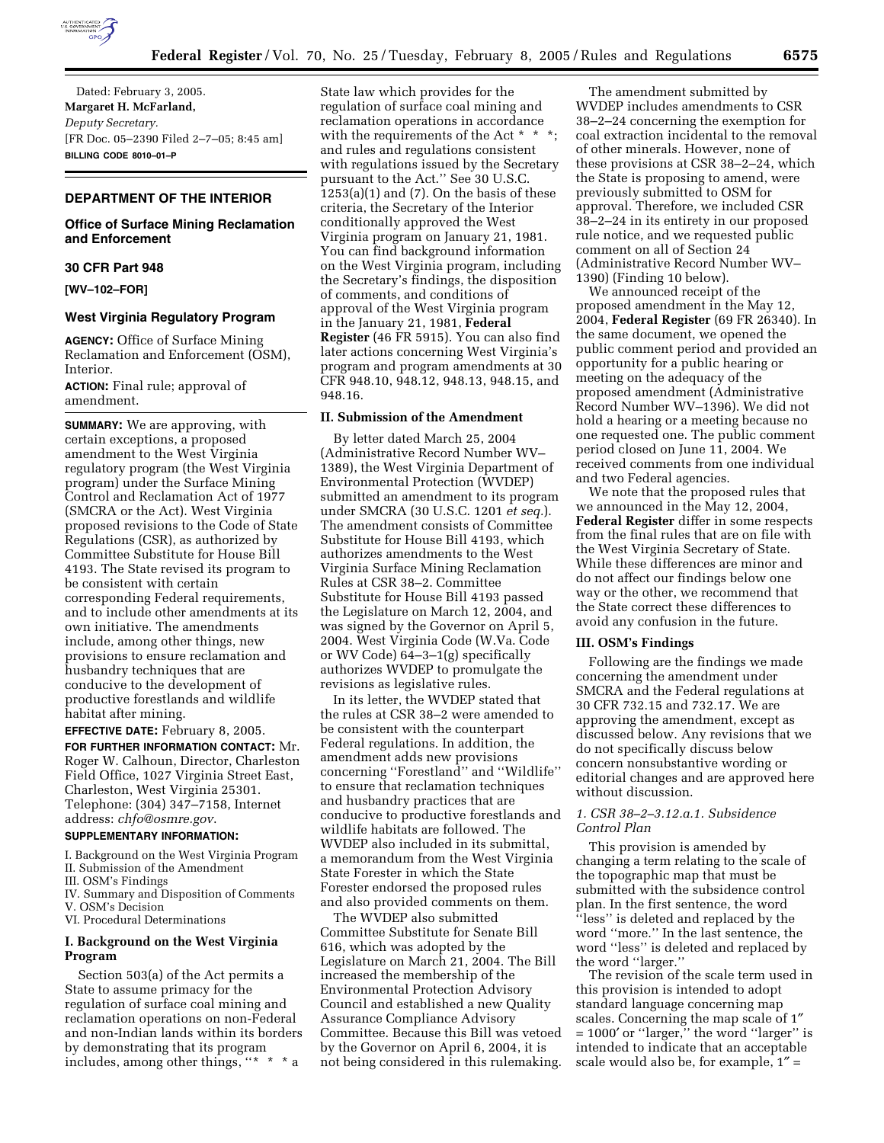

Dated: February 3, 2005. **Margaret H. McFarland,**  *Deputy Secretary.* [FR Doc. 05–2390 Filed 2–7–05; 8:45 am] **BILLING CODE 8010–01–P**

# **DEPARTMENT OF THE INTERIOR**

# **Office of Surface Mining Reclamation and Enforcement**

# **30 CFR Part 948**

**[WV–102–FOR]** 

### **West Virginia Regulatory Program**

**AGENCY:** Office of Surface Mining Reclamation and Enforcement (OSM), Interior.

**ACTION:** Final rule; approval of amendment.

**SUMMARY:** We are approving, with certain exceptions, a proposed amendment to the West Virginia regulatory program (the West Virginia program) under the Surface Mining Control and Reclamation Act of 1977 (SMCRA or the Act). West Virginia proposed revisions to the Code of State Regulations (CSR), as authorized by Committee Substitute for House Bill 4193. The State revised its program to be consistent with certain corresponding Federal requirements, and to include other amendments at its own initiative. The amendments include, among other things, new provisions to ensure reclamation and husbandry techniques that are conducive to the development of productive forestlands and wildlife habitat after mining.

**EFFECTIVE DATE:** February 8, 2005. **FOR FURTHER INFORMATION CONTACT:** Mr. Roger W. Calhoun, Director, Charleston Field Office, 1027 Virginia Street East, Charleston, West Virginia 25301. Telephone: (304) 347–7158, Internet address: *chfo@osmre.gov*.

# **SUPPLEMENTARY INFORMATION:**

- I. Background on the West Virginia Program
- II. Submission of the Amendment
- III. OSM's Findings
- IV. Summary and Disposition of Comments V. OSM's Decision
- VI. Procedural Determinations

# **I. Background on the West Virginia Program**

Section 503(a) of the Act permits a State to assume primacy for the regulation of surface coal mining and reclamation operations on non-Federal and non-Indian lands within its borders by demonstrating that its program includes, among other things, " $* * *$ 

State law which provides for the regulation of surface coal mining and reclamation operations in accordance with the requirements of the Act \* \* \*; and rules and regulations consistent with regulations issued by the Secretary pursuant to the Act.'' See 30 U.S.C.  $1253(a)(1)$  and  $(7)$ . On the basis of these criteria, the Secretary of the Interior conditionally approved the West Virginia program on January 21, 1981. You can find background information on the West Virginia program, including the Secretary's findings, the disposition of comments, and conditions of approval of the West Virginia program in the January 21, 1981, **Federal Register** (46 FR 5915). You can also find later actions concerning West Virginia's program and program amendments at 30 CFR 948.10, 948.12, 948.13, 948.15, and 948.16.

## **II. Submission of the Amendment**

By letter dated March 25, 2004 (Administrative Record Number WV– 1389), the West Virginia Department of Environmental Protection (WVDEP) submitted an amendment to its program under SMCRA (30 U.S.C. 1201 *et seq.*). The amendment consists of Committee Substitute for House Bill 4193, which authorizes amendments to the West Virginia Surface Mining Reclamation Rules at CSR 38–2. Committee Substitute for House Bill 4193 passed the Legislature on March 12, 2004, and was signed by the Governor on April 5, 2004. West Virginia Code (W.Va. Code or WV Code) 64–3–1(g) specifically authorizes WVDEP to promulgate the revisions as legislative rules.

In its letter, the WVDEP stated that the rules at CSR 38–2 were amended to be consistent with the counterpart Federal regulations. In addition, the amendment adds new provisions concerning ''Forestland'' and ''Wildlife'' to ensure that reclamation techniques and husbandry practices that are conducive to productive forestlands and wildlife habitats are followed. The WVDEP also included in its submittal, a memorandum from the West Virginia State Forester in which the State Forester endorsed the proposed rules and also provided comments on them.

The WVDEP also submitted Committee Substitute for Senate Bill 616, which was adopted by the Legislature on March 21, 2004. The Bill increased the membership of the Environmental Protection Advisory Council and established a new Quality Assurance Compliance Advisory Committee. Because this Bill was vetoed by the Governor on April 6, 2004, it is not being considered in this rulemaking.

The amendment submitted by WVDEP includes amendments to CSR 38–2–24 concerning the exemption for coal extraction incidental to the removal of other minerals. However, none of these provisions at CSR 38–2–24, which the State is proposing to amend, were previously submitted to OSM for approval. Therefore, we included CSR 38–2–24 in its entirety in our proposed rule notice, and we requested public comment on all of Section 24 (Administrative Record Number WV– 1390) (Finding 10 below).

We announced receipt of the proposed amendment in the May 12, 2004, **Federal Register** (69 FR 26340). In the same document, we opened the public comment period and provided an opportunity for a public hearing or meeting on the adequacy of the proposed amendment (Administrative Record Number WV–1396). We did not hold a hearing or a meeting because no one requested one. The public comment period closed on June 11, 2004. We received comments from one individual and two Federal agencies.

We note that the proposed rules that we announced in the May 12, 2004, **Federal Register** differ in some respects from the final rules that are on file with the West Virginia Secretary of State. While these differences are minor and do not affect our findings below one way or the other, we recommend that the State correct these differences to avoid any confusion in the future.

## **III. OSM's Findings**

Following are the findings we made concerning the amendment under SMCRA and the Federal regulations at 30 CFR 732.15 and 732.17. We are approving the amendment, except as discussed below. Any revisions that we do not specifically discuss below concern nonsubstantive wording or editorial changes and are approved here without discussion.

# *1. CSR 38–2–3.12.a.1. Subsidence Control Plan*

This provision is amended by changing a term relating to the scale of the topographic map that must be submitted with the subsidence control plan. In the first sentence, the word ''less'' is deleted and replaced by the word ''more.'' In the last sentence, the word ''less'' is deleted and replaced by the word ''larger.''

The revision of the scale term used in this provision is intended to adopt standard language concerning map scales. Concerning the map scale of 1″  $= 1000'$  or "larger," the word "larger" is intended to indicate that an acceptable scale would also be, for example, 1″ =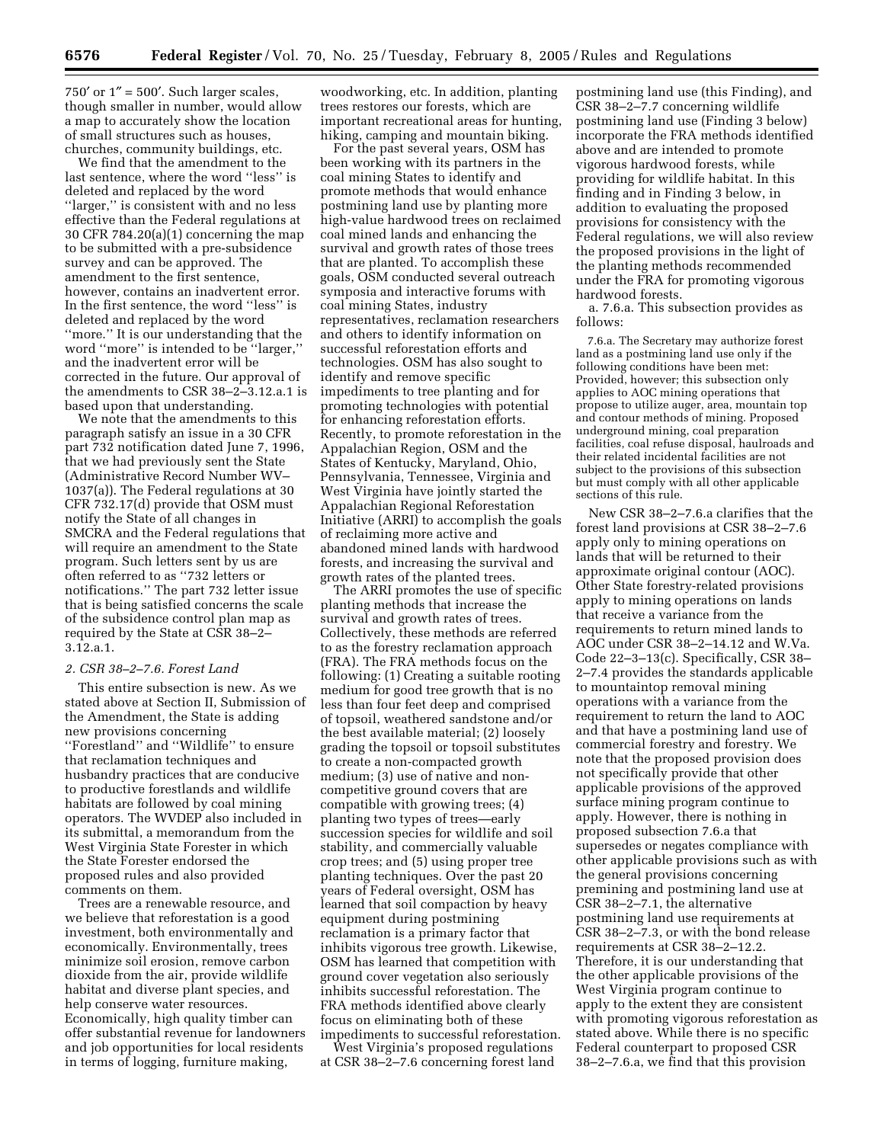$750'$  or  $1'' = 500'$ . Such larger scales, though smaller in number, would allow a map to accurately show the location of small structures such as houses, churches, community buildings, etc.

We find that the amendment to the last sentence, where the word ''less'' is deleted and replaced by the word ''larger,'' is consistent with and no less effective than the Federal regulations at 30 CFR 784.20(a)(1) concerning the map to be submitted with a pre-subsidence survey and can be approved. The amendment to the first sentence, however, contains an inadvertent error. In the first sentence, the word ''less'' is deleted and replaced by the word ''more.'' It is our understanding that the word ''more'' is intended to be ''larger,'' and the inadvertent error will be corrected in the future. Our approval of the amendments to CSR 38–2–3.12.a.1 is based upon that understanding.

We note that the amendments to this paragraph satisfy an issue in a 30 CFR part 732 notification dated June 7, 1996, that we had previously sent the State (Administrative Record Number WV– 1037(a)). The Federal regulations at 30 CFR 732.17(d) provide that OSM must notify the State of all changes in SMCRA and the Federal regulations that will require an amendment to the State program. Such letters sent by us are often referred to as ''732 letters or notifications.'' The part 732 letter issue that is being satisfied concerns the scale of the subsidence control plan map as required by the State at CSR 38–2– 3.12.a.1.

#### *2. CSR 38–2–7.6. Forest Land*

This entire subsection is new. As we stated above at Section II, Submission of the Amendment, the State is adding new provisions concerning ''Forestland'' and ''Wildlife'' to ensure that reclamation techniques and husbandry practices that are conducive to productive forestlands and wildlife habitats are followed by coal mining operators. The WVDEP also included in its submittal, a memorandum from the West Virginia State Forester in which the State Forester endorsed the proposed rules and also provided comments on them.

Trees are a renewable resource, and we believe that reforestation is a good investment, both environmentally and economically. Environmentally, trees minimize soil erosion, remove carbon dioxide from the air, provide wildlife habitat and diverse plant species, and help conserve water resources. Economically, high quality timber can offer substantial revenue for landowners and job opportunities for local residents in terms of logging, furniture making,

woodworking, etc. In addition, planting trees restores our forests, which are important recreational areas for hunting, hiking, camping and mountain biking.

For the past several years, OSM has been working with its partners in the coal mining States to identify and promote methods that would enhance postmining land use by planting more high-value hardwood trees on reclaimed coal mined lands and enhancing the survival and growth rates of those trees that are planted. To accomplish these goals, OSM conducted several outreach symposia and interactive forums with coal mining States, industry representatives, reclamation researchers and others to identify information on successful reforestation efforts and technologies. OSM has also sought to identify and remove specific impediments to tree planting and for promoting technologies with potential for enhancing reforestation efforts. Recently, to promote reforestation in the Appalachian Region, OSM and the States of Kentucky, Maryland, Ohio, Pennsylvania, Tennessee, Virginia and West Virginia have jointly started the Appalachian Regional Reforestation Initiative (ARRI) to accomplish the goals of reclaiming more active and abandoned mined lands with hardwood forests, and increasing the survival and growth rates of the planted trees.

The ARRI promotes the use of specific planting methods that increase the survival and growth rates of trees. Collectively, these methods are referred to as the forestry reclamation approach (FRA). The FRA methods focus on the following: (1) Creating a suitable rooting medium for good tree growth that is no less than four feet deep and comprised of topsoil, weathered sandstone and/or the best available material; (2) loosely grading the topsoil or topsoil substitutes to create a non-compacted growth medium; (3) use of native and noncompetitive ground covers that are compatible with growing trees; (4) planting two types of trees—early succession species for wildlife and soil stability, and commercially valuable crop trees; and (5) using proper tree planting techniques. Over the past 20 years of Federal oversight, OSM has learned that soil compaction by heavy equipment during postmining reclamation is a primary factor that inhibits vigorous tree growth. Likewise, OSM has learned that competition with ground cover vegetation also seriously inhibits successful reforestation. The FRA methods identified above clearly focus on eliminating both of these impediments to successful reforestation.

West Virginia's proposed regulations at CSR 38–2–7.6 concerning forest land postmining land use (this Finding), and CSR 38–2–7.7 concerning wildlife postmining land use (Finding 3 below) incorporate the FRA methods identified above and are intended to promote vigorous hardwood forests, while providing for wildlife habitat. In this finding and in Finding 3 below, in addition to evaluating the proposed provisions for consistency with the Federal regulations, we will also review the proposed provisions in the light of the planting methods recommended under the FRA for promoting vigorous hardwood forests.

a. 7.6.a. This subsection provides as follows:

7.6.a. The Secretary may authorize forest land as a postmining land use only if the following conditions have been met: Provided, however; this subsection only applies to AOC mining operations that propose to utilize auger, area, mountain top and contour methods of mining. Proposed underground mining, coal preparation facilities, coal refuse disposal, haulroads and their related incidental facilities are not subject to the provisions of this subsection but must comply with all other applicable sections of this rule.

New CSR 38–2–7.6.a clarifies that the forest land provisions at CSR 38–2–7.6 apply only to mining operations on lands that will be returned to their approximate original contour (AOC). Other State forestry-related provisions apply to mining operations on lands that receive a variance from the requirements to return mined lands to AOC under CSR 38–2–14.12 and W.Va. Code 22–3–13(c). Specifically, CSR 38– 2–7.4 provides the standards applicable to mountaintop removal mining operations with a variance from the requirement to return the land to AOC and that have a postmining land use of commercial forestry and forestry. We note that the proposed provision does not specifically provide that other applicable provisions of the approved surface mining program continue to apply. However, there is nothing in proposed subsection 7.6.a that supersedes or negates compliance with other applicable provisions such as with the general provisions concerning premining and postmining land use at CSR 38–2–7.1, the alternative postmining land use requirements at CSR 38–2–7.3, or with the bond release requirements at CSR 38–2–12.2. Therefore, it is our understanding that the other applicable provisions of the West Virginia program continue to apply to the extent they are consistent with promoting vigorous reforestation as stated above. While there is no specific Federal counterpart to proposed CSR 38–2–7.6.a, we find that this provision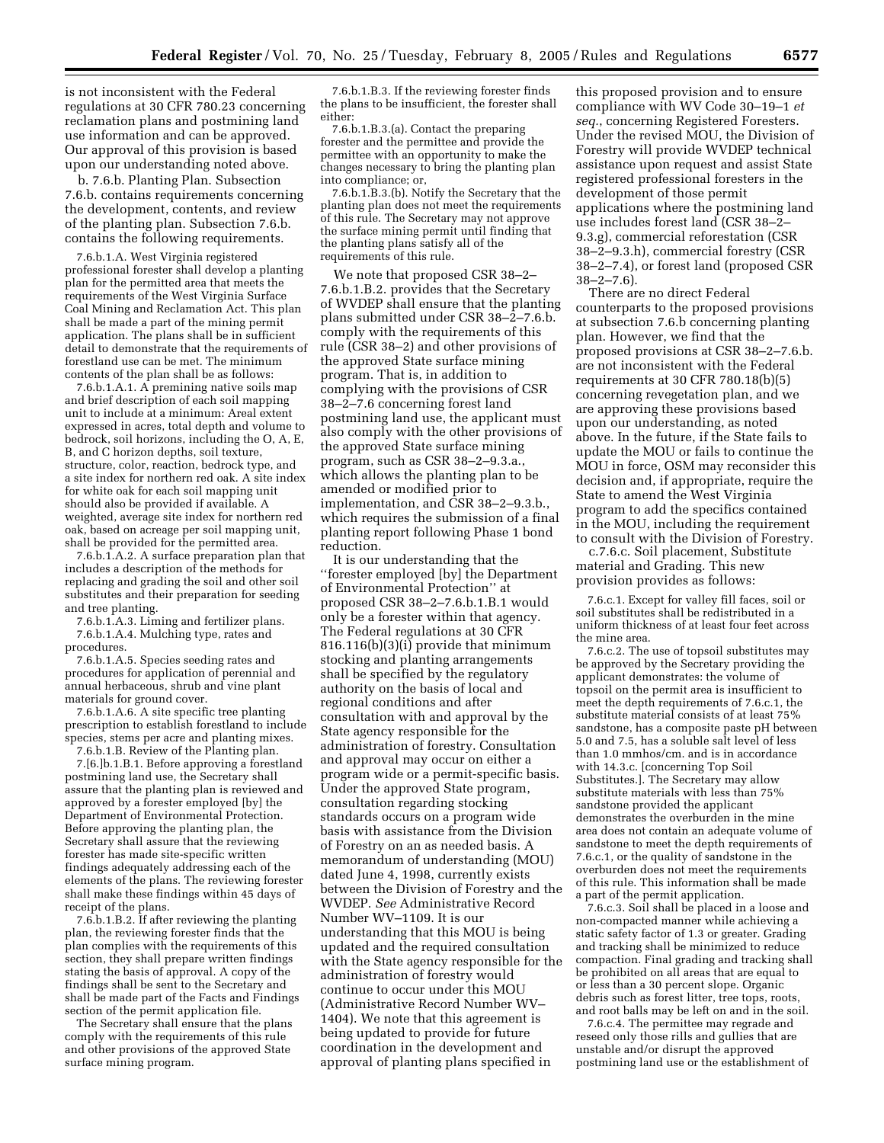is not inconsistent with the Federal regulations at 30 CFR 780.23 concerning reclamation plans and postmining land use information and can be approved. Our approval of this provision is based upon our understanding noted above.

b. 7.6.b. Planting Plan. Subsection 7.6.b. contains requirements concerning the development, contents, and review of the planting plan. Subsection 7.6.b. contains the following requirements.

7.6.b.1.A. West Virginia registered professional forester shall develop a planting plan for the permitted area that meets the requirements of the West Virginia Surface Coal Mining and Reclamation Act. This plan shall be made a part of the mining permit application. The plans shall be in sufficient detail to demonstrate that the requirements of forestland use can be met. The minimum contents of the plan shall be as follows:

7.6.b.1.A.1. A premining native soils map and brief description of each soil mapping unit to include at a minimum: Areal extent expressed in acres, total depth and volume to bedrock, soil horizons, including the O, A, E, B, and C horizon depths, soil texture, structure, color, reaction, bedrock type, and a site index for northern red oak. A site index for white oak for each soil mapping unit should also be provided if available. A weighted, average site index for northern red oak, based on acreage per soil mapping unit, shall be provided for the permitted area.

7.6.b.1.A.2. A surface preparation plan that includes a description of the methods for replacing and grading the soil and other soil substitutes and their preparation for seeding and tree planting.

7.6.b.1.A.3. Liming and fertilizer plans. 7.6.b.1.A.4. Mulching type, rates and procedures.

7.6.b.1.A.5. Species seeding rates and procedures for application of perennial and annual herbaceous, shrub and vine plant materials for ground cover.

7.6.b.1.A.6. A site specific tree planting prescription to establish forestland to include species, stems per acre and planting mixes.

7.6.b.1.B. Review of the Planting plan. 7.[6.]b.1.B.1. Before approving a forestland postmining land use, the Secretary shall assure that the planting plan is reviewed and approved by a forester employed [by] the Department of Environmental Protection. Before approving the planting plan, the Secretary shall assure that the reviewing forester has made site-specific written findings adequately addressing each of the elements of the plans. The reviewing forester shall make these findings within 45 days of receipt of the plans.

7.6.b.1.B.2. If after reviewing the planting plan, the reviewing forester finds that the plan complies with the requirements of this section, they shall prepare written findings stating the basis of approval. A copy of the findings shall be sent to the Secretary and shall be made part of the Facts and Findings section of the permit application file.

The Secretary shall ensure that the plans comply with the requirements of this rule and other provisions of the approved State surface mining program.

7.6.b.1.B.3. If the reviewing forester finds the plans to be insufficient, the forester shall either:

7.6.b.1.B.3.(a). Contact the preparing forester and the permittee and provide the permittee with an opportunity to make the changes necessary to bring the planting plan into compliance; or,

7.6.b.1.B.3.(b). Notify the Secretary that the planting plan does not meet the requirements of this rule. The Secretary may not approve the surface mining permit until finding that the planting plans satisfy all of the requirements of this rule.

We note that proposed CSR 38–2– 7.6.b.1.B.2. provides that the Secretary of WVDEP shall ensure that the planting plans submitted under CSR 38–2–7.6.b. comply with the requirements of this rule (CSR 38–2) and other provisions of the approved State surface mining program. That is, in addition to complying with the provisions of CSR 38–2–7.6 concerning forest land postmining land use, the applicant must also comply with the other provisions of the approved State surface mining program, such as CSR 38–2–9.3.a., which allows the planting plan to be amended or modified prior to implementation, and CSR 38–2–9.3.b., which requires the submission of a final planting report following Phase 1 bond reduction.

It is our understanding that the ''forester employed [by] the Department of Environmental Protection'' at proposed CSR 38–2–7.6.b.1.B.1 would only be a forester within that agency. The Federal regulations at 30 CFR 816.116(b)(3)(i) provide that minimum stocking and planting arrangements shall be specified by the regulatory authority on the basis of local and regional conditions and after consultation with and approval by the State agency responsible for the administration of forestry. Consultation and approval may occur on either a program wide or a permit-specific basis. Under the approved State program, consultation regarding stocking standards occurs on a program wide basis with assistance from the Division of Forestry on an as needed basis. A memorandum of understanding (MOU) dated June 4, 1998, currently exists between the Division of Forestry and the WVDEP. *See* Administrative Record Number WV–1109. It is our understanding that this MOU is being updated and the required consultation with the State agency responsible for the administration of forestry would continue to occur under this MOU (Administrative Record Number WV– 1404). We note that this agreement is being updated to provide for future coordination in the development and approval of planting plans specified in

this proposed provision and to ensure compliance with WV Code 30–19–1 *et seq.*, concerning Registered Foresters. Under the revised MOU, the Division of Forestry will provide WVDEP technical assistance upon request and assist State registered professional foresters in the development of those permit applications where the postmining land use includes forest land (CSR 38–2– 9.3.g), commercial reforestation (CSR 38–2–9.3.h), commercial forestry (CSR 38–2–7.4), or forest land (proposed CSR  $38 - 2 - 7.6$ .

There are no direct Federal counterparts to the proposed provisions at subsection 7.6.b concerning planting plan. However, we find that the proposed provisions at CSR 38–2–7.6.b. are not inconsistent with the Federal requirements at 30 CFR 780.18(b)(5) concerning revegetation plan, and we are approving these provisions based upon our understanding, as noted above. In the future, if the State fails to update the MOU or fails to continue the MOU in force, OSM may reconsider this decision and, if appropriate, require the State to amend the West Virginia program to add the specifics contained in the MOU, including the requirement to consult with the Division of Forestry.

c.7.6.c. Soil placement, Substitute material and Grading. This new provision provides as follows:

7.6.c.1. Except for valley fill faces, soil or soil substitutes shall be redistributed in a uniform thickness of at least four feet across the mine area.

7.6.c.2. The use of topsoil substitutes may be approved by the Secretary providing the applicant demonstrates: the volume of topsoil on the permit area is insufficient to meet the depth requirements of 7.6.c.1, the substitute material consists of at least 75% sandstone, has a composite paste pH between 5.0 and 7.5, has a soluble salt level of less than 1.0 mmhos/cm. and is in accordance with 14.3.c. [concerning Top Soil Substitutes.]. The Secretary may allow substitute materials with less than 75% sandstone provided the applicant demonstrates the overburden in the mine area does not contain an adequate volume of sandstone to meet the depth requirements of 7.6.c.1, or the quality of sandstone in the overburden does not meet the requirements of this rule. This information shall be made a part of the permit application.

7.6.c.3. Soil shall be placed in a loose and non-compacted manner while achieving a static safety factor of 1.3 or greater. Grading and tracking shall be minimized to reduce compaction. Final grading and tracking shall be prohibited on all areas that are equal to or less than a 30 percent slope. Organic debris such as forest litter, tree tops, roots, and root balls may be left on and in the soil.

7.6.c.4. The permittee may regrade and reseed only those rills and gullies that are unstable and/or disrupt the approved postmining land use or the establishment of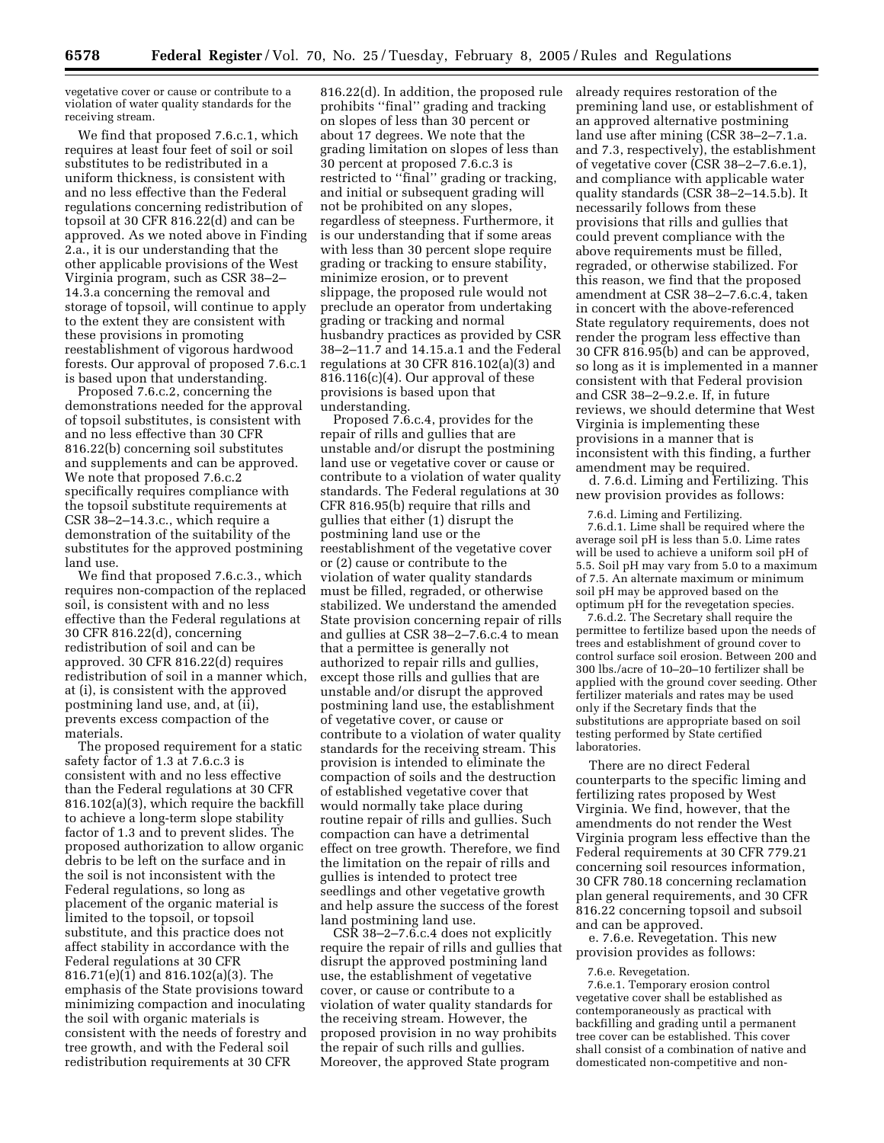vegetative cover or cause or contribute to a violation of water quality standards for the receiving stream.

We find that proposed 7.6.c.1, which requires at least four feet of soil or soil substitutes to be redistributed in a uniform thickness, is consistent with and no less effective than the Federal regulations concerning redistribution of topsoil at 30 CFR 816.22(d) and can be approved. As we noted above in Finding 2.a., it is our understanding that the other applicable provisions of the West Virginia program, such as CSR 38–2– 14.3.a concerning the removal and storage of topsoil, will continue to apply to the extent they are consistent with these provisions in promoting reestablishment of vigorous hardwood forests. Our approval of proposed 7.6.c.1 is based upon that understanding.

Proposed 7.6.c.2, concerning the demonstrations needed for the approval of topsoil substitutes, is consistent with and no less effective than 30 CFR 816.22(b) concerning soil substitutes and supplements and can be approved. We note that proposed 7.6.c.2 specifically requires compliance with the topsoil substitute requirements at CSR 38–2–14.3.c., which require a demonstration of the suitability of the substitutes for the approved postmining land use.

We find that proposed 7.6.c.3., which requires non-compaction of the replaced soil, is consistent with and no less effective than the Federal regulations at 30 CFR 816.22(d), concerning redistribution of soil and can be approved. 30 CFR 816.22(d) requires redistribution of soil in a manner which, at (i), is consistent with the approved postmining land use, and, at (ii), prevents excess compaction of the materials.

The proposed requirement for a static safety factor of 1.3 at 7.6.c.3 is consistent with and no less effective than the Federal regulations at 30 CFR 816.102(a)(3), which require the backfill to achieve a long-term slope stability factor of 1.3 and to prevent slides. The proposed authorization to allow organic debris to be left on the surface and in the soil is not inconsistent with the Federal regulations, so long as placement of the organic material is limited to the topsoil, or topsoil substitute, and this practice does not affect stability in accordance with the Federal regulations at 30 CFR 816.71(e)(1) and 816.102(a)(3). The emphasis of the State provisions toward minimizing compaction and inoculating the soil with organic materials is consistent with the needs of forestry and tree growth, and with the Federal soil redistribution requirements at 30 CFR

816.22(d). In addition, the proposed rule prohibits ''final'' grading and tracking on slopes of less than 30 percent or about 17 degrees. We note that the grading limitation on slopes of less than 30 percent at proposed 7.6.c.3 is restricted to ''final'' grading or tracking, and initial or subsequent grading will not be prohibited on any slopes, regardless of steepness. Furthermore, it is our understanding that if some areas with less than 30 percent slope require grading or tracking to ensure stability, minimize erosion, or to prevent slippage, the proposed rule would not preclude an operator from undertaking grading or tracking and normal husbandry practices as provided by CSR 38–2–11.7 and 14.15.a.1 and the Federal regulations at 30 CFR 816.102(a)(3) and 816.116(c)(4). Our approval of these provisions is based upon that understanding.

Proposed 7.6.c.4, provides for the repair of rills and gullies that are unstable and/or disrupt the postmining land use or vegetative cover or cause or contribute to a violation of water quality standards. The Federal regulations at 30 CFR 816.95(b) require that rills and gullies that either (1) disrupt the postmining land use or the reestablishment of the vegetative cover or (2) cause or contribute to the violation of water quality standards must be filled, regraded, or otherwise stabilized. We understand the amended State provision concerning repair of rills and gullies at CSR 38–2–7.6.c.4 to mean that a permittee is generally not authorized to repair rills and gullies, except those rills and gullies that are unstable and/or disrupt the approved postmining land use, the establishment of vegetative cover, or cause or contribute to a violation of water quality standards for the receiving stream. This provision is intended to eliminate the compaction of soils and the destruction of established vegetative cover that would normally take place during routine repair of rills and gullies. Such compaction can have a detrimental effect on tree growth. Therefore, we find the limitation on the repair of rills and gullies is intended to protect tree seedlings and other vegetative growth and help assure the success of the forest land postmining land use.

CSR 38–2–7.6.c.4 does not explicitly require the repair of rills and gullies that disrupt the approved postmining land use, the establishment of vegetative cover, or cause or contribute to a violation of water quality standards for the receiving stream. However, the proposed provision in no way prohibits the repair of such rills and gullies. Moreover, the approved State program

already requires restoration of the premining land use, or establishment of an approved alternative postmining land use after mining (CSR 38-2-7.1.a. and 7.3, respectively), the establishment of vegetative cover (CSR 38–2–7.6.e.1), and compliance with applicable water quality standards (CSR 38–2–14.5.b). It necessarily follows from these provisions that rills and gullies that could prevent compliance with the above requirements must be filled, regraded, or otherwise stabilized. For this reason, we find that the proposed amendment at CSR 38–2–7.6.c.4, taken in concert with the above-referenced State regulatory requirements, does not render the program less effective than 30 CFR 816.95(b) and can be approved, so long as it is implemented in a manner consistent with that Federal provision and CSR 38–2–9.2.e. If, in future reviews, we should determine that West Virginia is implementing these provisions in a manner that is inconsistent with this finding, a further amendment may be required.

d. 7.6.d. Liming and Fertilizing. This new provision provides as follows:

7.6.d. Liming and Fertilizing.

7.6.d.1. Lime shall be required where the average soil pH is less than 5.0. Lime rates will be used to achieve a uniform soil pH of 5.5. Soil pH may vary from 5.0 to a maximum of 7.5. An alternate maximum or minimum soil pH may be approved based on the optimum pH for the revegetation species.

7.6.d.2. The Secretary shall require the permittee to fertilize based upon the needs of trees and establishment of ground cover to control surface soil erosion. Between 200 and 300 lbs./acre of 10–20–10 fertilizer shall be applied with the ground cover seeding. Other fertilizer materials and rates may be used only if the Secretary finds that the substitutions are appropriate based on soil testing performed by State certified laboratories.

There are no direct Federal counterparts to the specific liming and fertilizing rates proposed by West Virginia. We find, however, that the amendments do not render the West Virginia program less effective than the Federal requirements at 30 CFR 779.21 concerning soil resources information, 30 CFR 780.18 concerning reclamation plan general requirements, and 30 CFR 816.22 concerning topsoil and subsoil and can be approved.

e. 7.6.e. Revegetation. This new provision provides as follows:

7.6.e. Revegetation.

7.6.e.1. Temporary erosion control vegetative cover shall be established as contemporaneously as practical with backfilling and grading until a permanent tree cover can be established. This cover shall consist of a combination of native and domesticated non-competitive and non-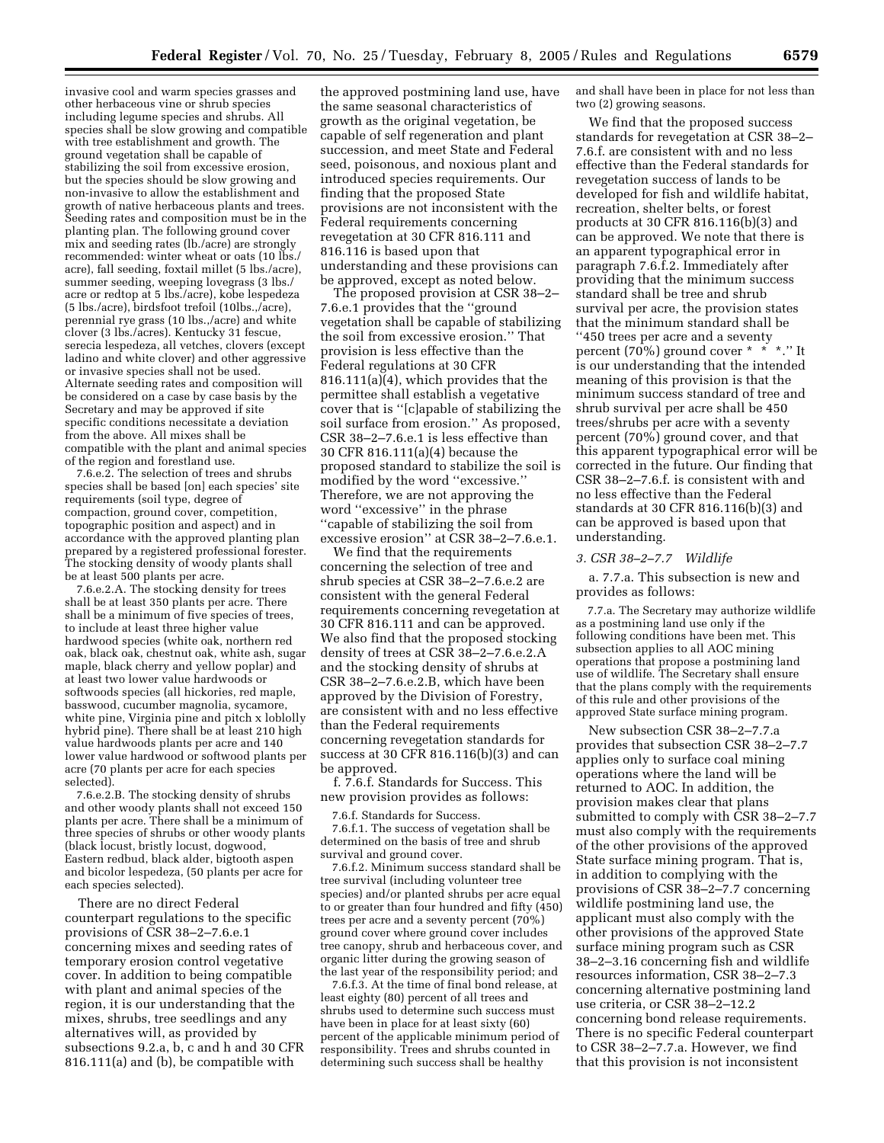invasive cool and warm species grasses and other herbaceous vine or shrub species including legume species and shrubs. All species shall be slow growing and compatible with tree establishment and growth. The ground vegetation shall be capable of stabilizing the soil from excessive erosion, but the species should be slow growing and non-invasive to allow the establishment and growth of native herbaceous plants and trees. Seeding rates and composition must be in the planting plan. The following ground cover mix and seeding rates (lb./acre) are strongly recommended: winter wheat or oats (10 lbs./ acre), fall seeding, foxtail millet (5 lbs./acre), summer seeding, weeping lovegrass (3 lbs./ acre or redtop at 5 lbs./acre), kobe lespedeza (5 lbs./acre), birdsfoot trefoil (10lbs.,/acre), perennial rye grass (10 lbs.,/acre) and white clover (3 lbs./acres). Kentucky 31 fescue, serecia lespedeza, all vetches, clovers (except ladino and white clover) and other aggressive or invasive species shall not be used. Alternate seeding rates and composition will be considered on a case by case basis by the Secretary and may be approved if site specific conditions necessitate a deviation from the above. All mixes shall be compatible with the plant and animal species of the region and forestland use.

7.6.e.2. The selection of trees and shrubs species shall be based [on] each species' site requirements (soil type, degree of compaction, ground cover, competition, topographic position and aspect) and in accordance with the approved planting plan prepared by a registered professional forester. The stocking density of woody plants shall be at least 500 plants per acre.

7.6.e.2.A. The stocking density for trees shall be at least 350 plants per acre. There shall be a minimum of five species of trees, to include at least three higher value hardwood species (white oak, northern red oak, black oak, chestnut oak, white ash, sugar maple, black cherry and yellow poplar) and at least two lower value hardwoods or softwoods species (all hickories, red maple, basswood, cucumber magnolia, sycamore, white pine, Virginia pine and pitch x loblolly hybrid pine). There shall be at least 210 high value hardwoods plants per acre and 140 lower value hardwood or softwood plants per acre (70 plants per acre for each species selected).

7.6.e.2.B. The stocking density of shrubs and other woody plants shall not exceed 150 plants per acre. There shall be a minimum of three species of shrubs or other woody plants (black locust, bristly locust, dogwood, Eastern redbud, black alder, bigtooth aspen and bicolor lespedeza, (50 plants per acre for each species selected).

There are no direct Federal counterpart regulations to the specific provisions of CSR 38–2–7.6.e.1 concerning mixes and seeding rates of temporary erosion control vegetative cover. In addition to being compatible with plant and animal species of the region, it is our understanding that the mixes, shrubs, tree seedlings and any alternatives will, as provided by subsections 9.2.a, b, c and h and 30 CFR 816.111(a) and (b), be compatible with

the approved postmining land use, have the same seasonal characteristics of growth as the original vegetation, be capable of self regeneration and plant succession, and meet State and Federal seed, poisonous, and noxious plant and introduced species requirements. Our finding that the proposed State provisions are not inconsistent with the Federal requirements concerning revegetation at 30 CFR 816.111 and 816.116 is based upon that understanding and these provisions can be approved, except as noted below.

The proposed provision at CSR 38–2– 7.6.e.1 provides that the ''ground vegetation shall be capable of stabilizing the soil from excessive erosion.'' That provision is less effective than the Federal regulations at 30 CFR 816.111(a)(4), which provides that the permittee shall establish a vegetative cover that is ''[c]apable of stabilizing the soil surface from erosion.'' As proposed, CSR 38–2–7.6.e.1 is less effective than 30 CFR 816.111(a)(4) because the proposed standard to stabilize the soil is modified by the word ''excessive.'' Therefore, we are not approving the word ''excessive'' in the phrase ''capable of stabilizing the soil from excessive erosion'' at CSR 38–2–7.6.e.1.

We find that the requirements concerning the selection of tree and shrub species at CSR 38–2–7.6.e.2 are consistent with the general Federal requirements concerning revegetation at 30 CFR 816.111 and can be approved. We also find that the proposed stocking density of trees at CSR 38–2–7.6.e.2.A and the stocking density of shrubs at CSR 38–2–7.6.e.2.B, which have been approved by the Division of Forestry, are consistent with and no less effective than the Federal requirements concerning revegetation standards for success at 30 CFR 816.116(b)(3) and can be approved.

f. 7.6.f. Standards for Success. This new provision provides as follows:

7.6.f. Standards for Success.

7.6.f.1. The success of vegetation shall be determined on the basis of tree and shrub survival and ground cover.

7.6.f.2. Minimum success standard shall be tree survival (including volunteer tree species) and/or planted shrubs per acre equal to or greater than four hundred and fifty (450) trees per acre and a seventy percent (70%) ground cover where ground cover includes tree canopy, shrub and herbaceous cover, and organic litter during the growing season of the last year of the responsibility period; and

7.6.f.3. At the time of final bond release, at least eighty (80) percent of all trees and shrubs used to determine such success must have been in place for at least sixty (60) percent of the applicable minimum period of responsibility. Trees and shrubs counted in determining such success shall be healthy

and shall have been in place for not less than two (2) growing seasons.

We find that the proposed success standards for revegetation at CSR 38–2– 7.6.f. are consistent with and no less effective than the Federal standards for revegetation success of lands to be developed for fish and wildlife habitat, recreation, shelter belts, or forest products at 30 CFR 816.116(b)(3) and can be approved. We note that there is an apparent typographical error in paragraph 7.6.f.2. Immediately after providing that the minimum success standard shall be tree and shrub survival per acre, the provision states that the minimum standard shall be ''450 trees per acre and a seventy percent (70%) ground cover \* \* \*.'' It is our understanding that the intended meaning of this provision is that the minimum success standard of tree and shrub survival per acre shall be 450 trees/shrubs per acre with a seventy percent (70%) ground cover, and that this apparent typographical error will be corrected in the future. Our finding that CSR 38–2–7.6.f. is consistent with and no less effective than the Federal standards at 30 CFR 816.116(b)(3) and can be approved is based upon that understanding.

#### *3. CSR 38–2–7.7 Wildlife*

a. 7.7.a. This subsection is new and provides as follows:

7.7.a. The Secretary may authorize wildlife as a postmining land use only if the following conditions have been met. This subsection applies to all AOC mining operations that propose a postmining land use of wildlife. The Secretary shall ensure that the plans comply with the requirements of this rule and other provisions of the approved State surface mining program.

New subsection CSR 38–2–7.7.a provides that subsection CSR 38–2–7.7 applies only to surface coal mining operations where the land will be returned to AOC. In addition, the provision makes clear that plans submitted to comply with CSR 38–2–7.7 must also comply with the requirements of the other provisions of the approved State surface mining program. That is, in addition to complying with the provisions of CSR 38–2–7.7 concerning wildlife postmining land use, the applicant must also comply with the other provisions of the approved State surface mining program such as CSR 38–2–3.16 concerning fish and wildlife resources information, CSR 38–2–7.3 concerning alternative postmining land use criteria, or CSR 38–2–12.2 concerning bond release requirements. There is no specific Federal counterpart to CSR 38–2–7.7.a. However, we find that this provision is not inconsistent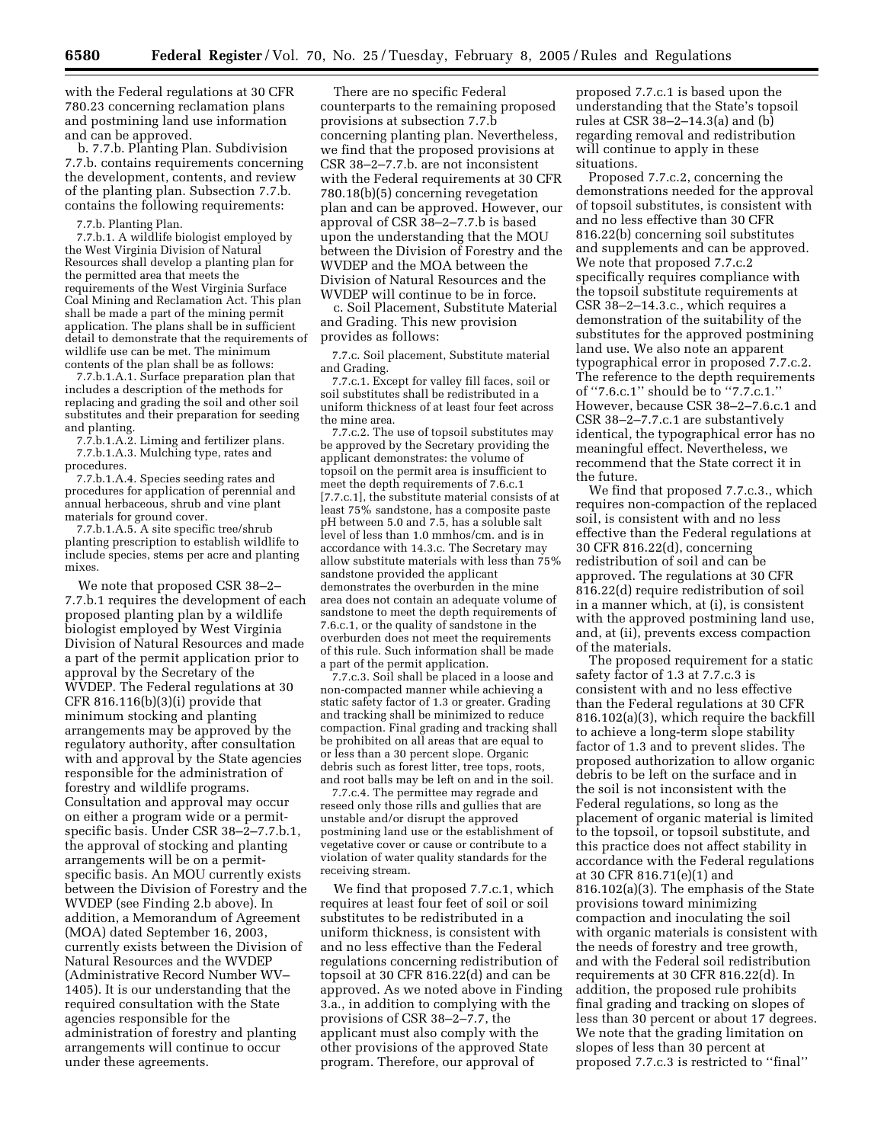with the Federal regulations at 30 CFR 780.23 concerning reclamation plans and postmining land use information and can be approved.

b. 7.7.b. Planting Plan. Subdivision 7.7.b. contains requirements concerning the development, contents, and review of the planting plan. Subsection 7.7.b. contains the following requirements:

7.7.b. Planting Plan.

7.7.b.1. A wildlife biologist employed by the West Virginia Division of Natural Resources shall develop a planting plan for the permitted area that meets the requirements of the West Virginia Surface Coal Mining and Reclamation Act. This plan shall be made a part of the mining permit application. The plans shall be in sufficient detail to demonstrate that the requirements of wildlife use can be met. The minimum contents of the plan shall be as follows:

7.7.b.1.A.1. Surface preparation plan that includes a description of the methods for replacing and grading the soil and other soil substitutes and their preparation for seeding and planting.

7.7.b.1.A.2. Liming and fertilizer plans. 7.7.b.1.A.3. Mulching type, rates and procedures.

7.7.b.1.A.4. Species seeding rates and procedures for application of perennial and annual herbaceous, shrub and vine plant materials for ground cover.

7.7.b.1.A.5. A site specific tree/shrub planting prescription to establish wildlife to include species, stems per acre and planting mixes.

We note that proposed CSR 38–2– 7.7.b.1 requires the development of each proposed planting plan by a wildlife biologist employed by West Virginia Division of Natural Resources and made a part of the permit application prior to approval by the Secretary of the WVDEP. The Federal regulations at 30 CFR 816.116(b)(3)(i) provide that minimum stocking and planting arrangements may be approved by the regulatory authority, after consultation with and approval by the State agencies responsible for the administration of forestry and wildlife programs. Consultation and approval may occur on either a program wide or a permitspecific basis. Under CSR 38–2–7.7.b.1, the approval of stocking and planting arrangements will be on a permitspecific basis. An MOU currently exists between the Division of Forestry and the WVDEP (see Finding 2.b above). In addition, a Memorandum of Agreement (MOA) dated September 16, 2003, currently exists between the Division of Natural Resources and the WVDEP (Administrative Record Number WV– 1405). It is our understanding that the required consultation with the State agencies responsible for the administration of forestry and planting arrangements will continue to occur under these agreements.

There are no specific Federal counterparts to the remaining proposed provisions at subsection 7.7.b concerning planting plan. Nevertheless, we find that the proposed provisions at CSR 38–2–7.7.b. are not inconsistent with the Federal requirements at 30 CFR 780.18(b)(5) concerning revegetation plan and can be approved. However, our approval of CSR 38–2–7.7.b is based upon the understanding that the MOU between the Division of Forestry and the WVDEP and the MOA between the Division of Natural Resources and the WVDEP will continue to be in force.

c. Soil Placement, Substitute Material and Grading. This new provision provides as follows:

7.7.c. Soil placement, Substitute material and Grading.

7.7.c.1. Except for valley fill faces, soil or soil substitutes shall be redistributed in a uniform thickness of at least four feet across the mine area.

7.7.c.2. The use of topsoil substitutes may be approved by the Secretary providing the applicant demonstrates: the volume of topsoil on the permit area is insufficient to meet the depth requirements of 7.6.c.1 [7.7.c.1], the substitute material consists of at least 75% sandstone, has a composite paste pH between 5.0 and 7.5, has a soluble salt level of less than 1.0 mmhos/cm. and is in accordance with 14.3.c. The Secretary may allow substitute materials with less than 75% sandstone provided the applicant demonstrates the overburden in the mine area does not contain an adequate volume of sandstone to meet the depth requirements of 7.6.c.1, or the quality of sandstone in the overburden does not meet the requirements of this rule. Such information shall be made a part of the permit application.

7.7.c.3. Soil shall be placed in a loose and non-compacted manner while achieving a static safety factor of 1.3 or greater. Grading and tracking shall be minimized to reduce compaction. Final grading and tracking shall be prohibited on all areas that are equal to or less than a 30 percent slope. Organic debris such as forest litter, tree tops, roots, and root balls may be left on and in the soil.

7.7.c.4. The permittee may regrade and reseed only those rills and gullies that are unstable and/or disrupt the approved postmining land use or the establishment of vegetative cover or cause or contribute to a violation of water quality standards for the receiving stream.

We find that proposed 7.7.c.1, which requires at least four feet of soil or soil substitutes to be redistributed in a uniform thickness, is consistent with and no less effective than the Federal regulations concerning redistribution of topsoil at 30 CFR 816.22(d) and can be approved. As we noted above in Finding 3.a., in addition to complying with the provisions of CSR 38–2–7.7, the applicant must also comply with the other provisions of the approved State program. Therefore, our approval of

proposed 7.7.c.1 is based upon the understanding that the State's topsoil rules at CSR 38–2–14.3(a) and (b) regarding removal and redistribution will continue to apply in these situations.

Proposed 7.7.c.2, concerning the demonstrations needed for the approval of topsoil substitutes, is consistent with and no less effective than 30 CFR 816.22(b) concerning soil substitutes and supplements and can be approved. We note that proposed 7.7.c.2 specifically requires compliance with the topsoil substitute requirements at CSR 38–2–14.3.c., which requires a demonstration of the suitability of the substitutes for the approved postmining land use. We also note an apparent typographical error in proposed 7.7.c.2. The reference to the depth requirements of ''7.6.c.1'' should be to ''7.7.c.1.'' However, because CSR 38–2–7.6.c.1 and CSR 38–2–7.7.c.1 are substantively identical, the typographical error has no meaningful effect. Nevertheless, we recommend that the State correct it in the future.

We find that proposed 7.7.c.3., which requires non-compaction of the replaced soil, is consistent with and no less effective than the Federal regulations at 30 CFR 816.22(d), concerning redistribution of soil and can be approved. The regulations at 30 CFR 816.22(d) require redistribution of soil in a manner which, at (i), is consistent with the approved postmining land use, and, at (ii), prevents excess compaction of the materials.

The proposed requirement for a static safety factor of 1.3 at 7.7.c.3 is consistent with and no less effective than the Federal regulations at 30 CFR 816.102(a)(3), which require the backfill to achieve a long-term slope stability factor of 1.3 and to prevent slides. The proposed authorization to allow organic debris to be left on the surface and in the soil is not inconsistent with the Federal regulations, so long as the placement of organic material is limited to the topsoil, or topsoil substitute, and this practice does not affect stability in accordance with the Federal regulations at 30 CFR 816.71(e)(1) and 816.102(a)(3). The emphasis of the State provisions toward minimizing compaction and inoculating the soil with organic materials is consistent with the needs of forestry and tree growth, and with the Federal soil redistribution requirements at 30 CFR 816.22(d). In addition, the proposed rule prohibits final grading and tracking on slopes of less than 30 percent or about 17 degrees. We note that the grading limitation on slopes of less than 30 percent at proposed 7.7.c.3 is restricted to ''final''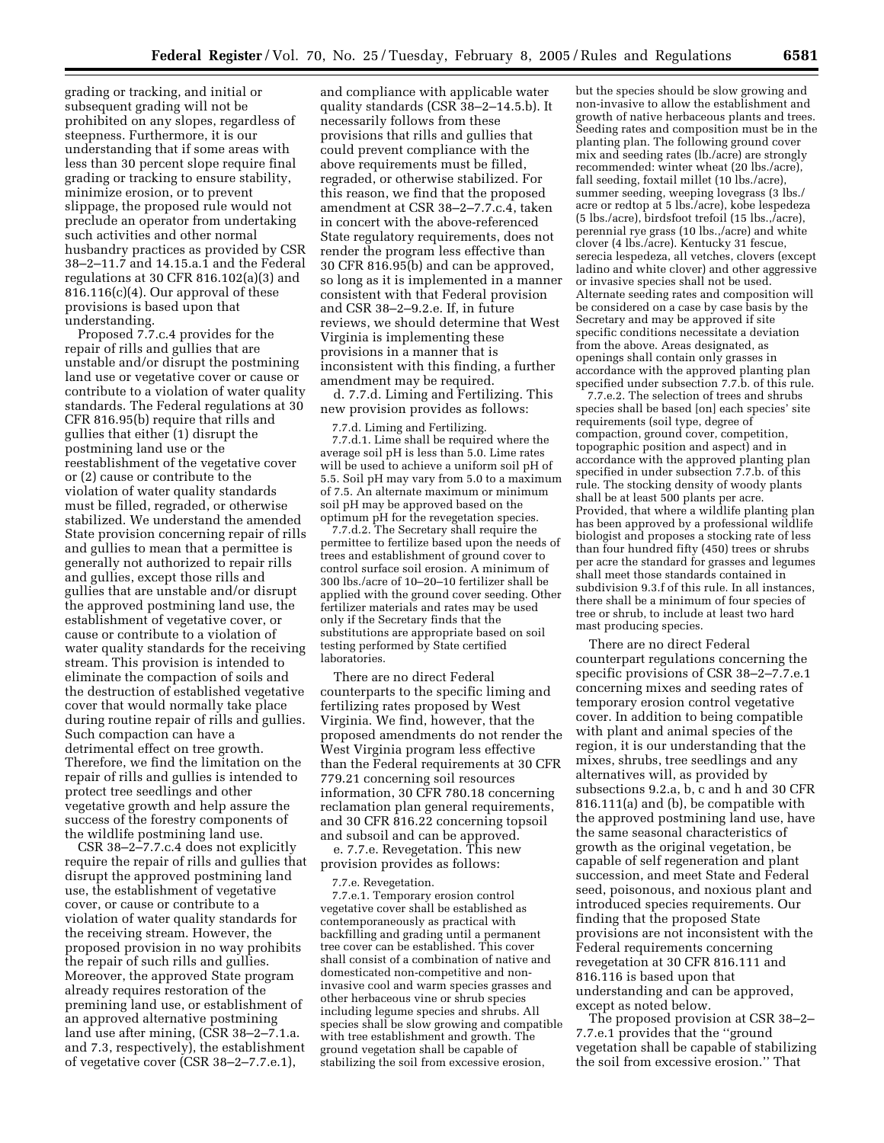grading or tracking, and initial or subsequent grading will not be prohibited on any slopes, regardless of steepness. Furthermore, it is our understanding that if some areas with less than 30 percent slope require final grading or tracking to ensure stability, minimize erosion, or to prevent slippage, the proposed rule would not preclude an operator from undertaking such activities and other normal husbandry practices as provided by CSR 38–2–11.7 and 14.15.a.1 and the Federal regulations at 30 CFR 816.102(a)(3) and 816.116(c)(4). Our approval of these provisions is based upon that understanding.

Proposed 7.7.c.4 provides for the repair of rills and gullies that are unstable and/or disrupt the postmining land use or vegetative cover or cause or contribute to a violation of water quality standards. The Federal regulations at 30 CFR 816.95(b) require that rills and gullies that either (1) disrupt the postmining land use or the reestablishment of the vegetative cover or (2) cause or contribute to the violation of water quality standards must be filled, regraded, or otherwise stabilized. We understand the amended State provision concerning repair of rills and gullies to mean that a permittee is generally not authorized to repair rills and gullies, except those rills and gullies that are unstable and/or disrupt the approved postmining land use, the establishment of vegetative cover, or cause or contribute to a violation of water quality standards for the receiving stream. This provision is intended to eliminate the compaction of soils and the destruction of established vegetative cover that would normally take place during routine repair of rills and gullies. Such compaction can have a detrimental effect on tree growth. Therefore, we find the limitation on the repair of rills and gullies is intended to protect tree seedlings and other vegetative growth and help assure the success of the forestry components of the wildlife postmining land use.

CSR 38–2–7.7.c.4 does not explicitly require the repair of rills and gullies that disrupt the approved postmining land use, the establishment of vegetative cover, or cause or contribute to a violation of water quality standards for the receiving stream. However, the proposed provision in no way prohibits the repair of such rills and gullies. Moreover, the approved State program already requires restoration of the premining land use, or establishment of an approved alternative postmining land use after mining, (CSR 38–2–7.1.a. and 7.3, respectively), the establishment of vegetative cover (CSR 38–2–7.7.e.1),

and compliance with applicable water quality standards (CSR 38–2–14.5.b). It necessarily follows from these provisions that rills and gullies that could prevent compliance with the above requirements must be filled, regraded, or otherwise stabilized. For this reason, we find that the proposed amendment at CSR 38–2–7.7.c.4, taken in concert with the above-referenced State regulatory requirements, does not render the program less effective than 30 CFR 816.95(b) and can be approved, so long as it is implemented in a manner consistent with that Federal provision and CSR 38–2–9.2.e. If, in future reviews, we should determine that West Virginia is implementing these provisions in a manner that is inconsistent with this finding, a further amendment may be required.

d. 7.7.d. Liming and Fertilizing. This new provision provides as follows:

7.7.d. Liming and Fertilizing.

7.7.d.1. Lime shall be required where the average soil pH is less than 5.0. Lime rates will be used to achieve a uniform soil pH of 5.5. Soil pH may vary from 5.0 to a maximum of 7.5. An alternate maximum or minimum soil pH may be approved based on the optimum pH for the revegetation species.

7.7.d.2. The Secretary shall require the permittee to fertilize based upon the needs of trees and establishment of ground cover to control surface soil erosion. A minimum of 300 lbs./acre of 10–20–10 fertilizer shall be applied with the ground cover seeding. Other fertilizer materials and rates may be used only if the Secretary finds that the substitutions are appropriate based on soil testing performed by State certified laboratories.

There are no direct Federal counterparts to the specific liming and fertilizing rates proposed by West Virginia. We find, however, that the proposed amendments do not render the West Virginia program less effective than the Federal requirements at 30 CFR 779.21 concerning soil resources information, 30 CFR 780.18 concerning reclamation plan general requirements, and 30 CFR 816.22 concerning topsoil and subsoil and can be approved.

e. 7.7.e. Revegetation. This new provision provides as follows:

7.7.e. Revegetation.

7.7.e.1. Temporary erosion control vegetative cover shall be established as contemporaneously as practical with backfilling and grading until a permanent tree cover can be established. This cover shall consist of a combination of native and domesticated non-competitive and noninvasive cool and warm species grasses and other herbaceous vine or shrub species including legume species and shrubs. All species shall be slow growing and compatible with tree establishment and growth. The ground vegetation shall be capable of stabilizing the soil from excessive erosion,

but the species should be slow growing and non-invasive to allow the establishment and growth of native herbaceous plants and trees. Seeding rates and composition must be in the planting plan. The following ground cover mix and seeding rates (lb./acre) are strongly recommended: winter wheat (20 lbs./acre), fall seeding, foxtail millet (10 lbs./acre), summer seeding, weeping lovegrass (3 lbs./ acre or redtop at 5 lbs./acre), kobe lespedeza (5 lbs./acre), birdsfoot trefoil (15 lbs.,/acre), perennial rye grass (10 lbs.,/acre) and white clover (4 lbs./acre). Kentucky 31 fescue, serecia lespedeza, all vetches, clovers (except ladino and white clover) and other aggressive or invasive species shall not be used. Alternate seeding rates and composition will be considered on a case by case basis by the Secretary and may be approved if site specific conditions necessitate a deviation from the above. Areas designated, as openings shall contain only grasses in accordance with the approved planting plan specified under subsection 7.7.b. of this rule.

7.7.e.2. The selection of trees and shrubs species shall be based [on] each species' site requirements (soil type, degree of compaction, ground cover, competition, topographic position and aspect) and in accordance with the approved planting plan specified in under subsection 7.7.b. of this rule. The stocking density of woody plants shall be at least 500 plants per acre. Provided, that where a wildlife planting plan has been approved by a professional wildlife biologist and proposes a stocking rate of less than four hundred fifty (450) trees or shrubs per acre the standard for grasses and legumes shall meet those standards contained in subdivision 9.3.f of this rule. In all instances, there shall be a minimum of four species of tree or shrub, to include at least two hard mast producing species.

There are no direct Federal counterpart regulations concerning the specific provisions of CSR 38–2–7.7.e.1 concerning mixes and seeding rates of temporary erosion control vegetative cover. In addition to being compatible with plant and animal species of the region, it is our understanding that the mixes, shrubs, tree seedlings and any alternatives will, as provided by subsections 9.2.a, b, c and h and 30 CFR 816.111(a) and (b), be compatible with the approved postmining land use, have the same seasonal characteristics of growth as the original vegetation, be capable of self regeneration and plant succession, and meet State and Federal seed, poisonous, and noxious plant and introduced species requirements. Our finding that the proposed State provisions are not inconsistent with the Federal requirements concerning revegetation at 30 CFR 816.111 and 816.116 is based upon that understanding and can be approved, except as noted below.

The proposed provision at CSR 38–2– 7.7.e.1 provides that the ''ground vegetation shall be capable of stabilizing the soil from excessive erosion.'' That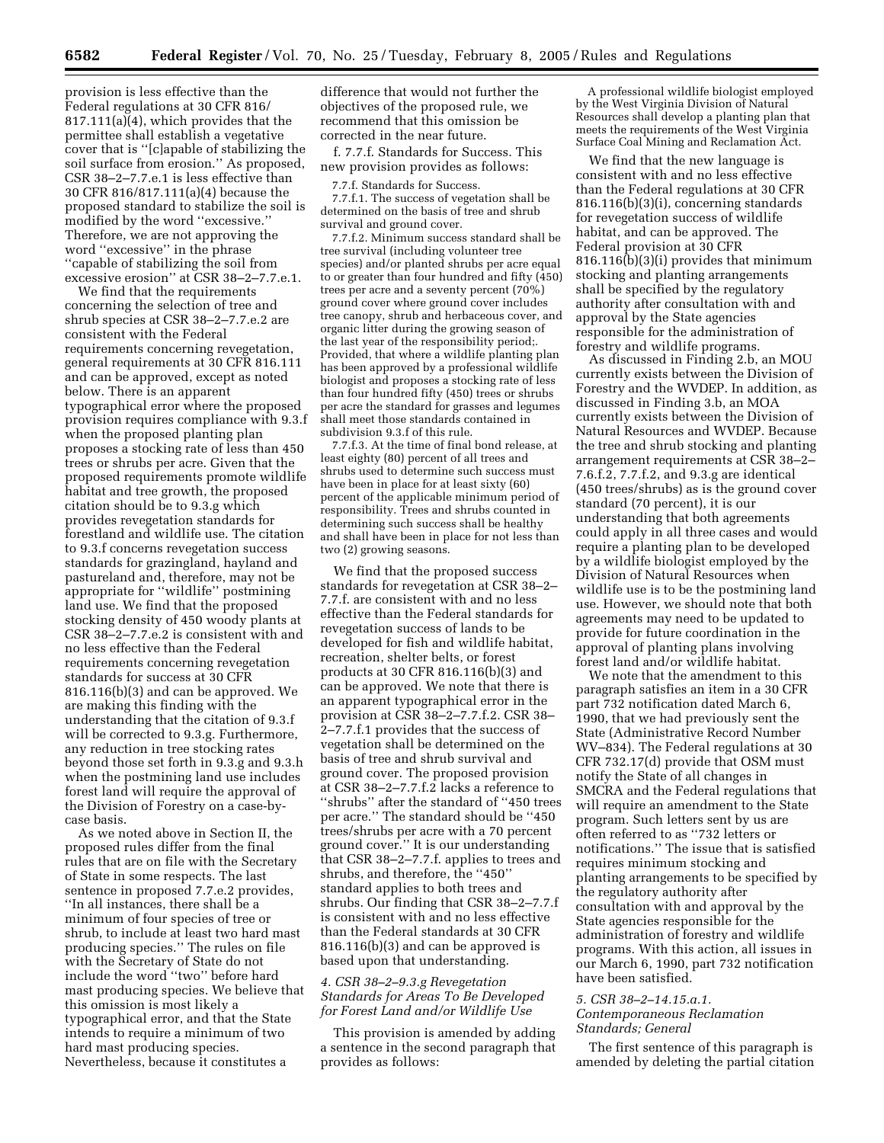provision is less effective than the Federal regulations at 30 CFR 816/ 817.111(a)(4), which provides that the permittee shall establish a vegetative cover that is ''[c]apable of stabilizing the soil surface from erosion.'' As proposed, CSR 38–2–7.7.e.1 is less effective than 30 CFR 816/817.111(a)(4) because the proposed standard to stabilize the soil is modified by the word ''excessive.'' Therefore, we are not approving the word ''excessive'' in the phrase ''capable of stabilizing the soil from excessive erosion'' at CSR 38–2–7.7.e.1.

We find that the requirements concerning the selection of tree and shrub species at CSR 38–2–7.7.e.2 are consistent with the Federal requirements concerning revegetation, general requirements at 30 CFR 816.111 and can be approved, except as noted below. There is an apparent typographical error where the proposed provision requires compliance with 9.3.f when the proposed planting plan proposes a stocking rate of less than 450 trees or shrubs per acre. Given that the proposed requirements promote wildlife habitat and tree growth, the proposed citation should be to 9.3.g which provides revegetation standards for forestland and wildlife use. The citation to 9.3.f concerns revegetation success standards for grazingland, hayland and pastureland and, therefore, may not be appropriate for ''wildlife'' postmining land use. We find that the proposed stocking density of 450 woody plants at CSR 38–2–7.7.e.2 is consistent with and no less effective than the Federal requirements concerning revegetation standards for success at 30 CFR 816.116(b)(3) and can be approved. We are making this finding with the understanding that the citation of 9.3.f will be corrected to 9.3.g. Furthermore, any reduction in tree stocking rates beyond those set forth in 9.3.g and 9.3.h when the postmining land use includes forest land will require the approval of the Division of Forestry on a case-bycase basis.

As we noted above in Section II, the proposed rules differ from the final rules that are on file with the Secretary of State in some respects. The last sentence in proposed 7.7.e.2 provides, ''In all instances, there shall be a minimum of four species of tree or shrub, to include at least two hard mast producing species.'' The rules on file with the Secretary of State do not include the word ''two'' before hard mast producing species. We believe that this omission is most likely a typographical error, and that the State intends to require a minimum of two hard mast producing species. Nevertheless, because it constitutes a

difference that would not further the objectives of the proposed rule, we recommend that this omission be corrected in the near future.

f. 7.7.f. Standards for Success. This new provision provides as follows:

7.7.f. Standards for Success.

7.7.f.1. The success of vegetation shall be determined on the basis of tree and shrub survival and ground cover.

7.7.f.2. Minimum success standard shall be tree survival (including volunteer tree species) and/or planted shrubs per acre equal to or greater than four hundred and fifty (450) trees per acre and a seventy percent (70%) ground cover where ground cover includes tree canopy, shrub and herbaceous cover, and organic litter during the growing season of the last year of the responsibility period;. Provided, that where a wildlife planting plan has been approved by a professional wildlife biologist and proposes a stocking rate of less than four hundred fifty (450) trees or shrubs per acre the standard for grasses and legumes shall meet those standards contained in subdivision 9.3.f of this rule.

7.7.f.3. At the time of final bond release, at least eighty (80) percent of all trees and shrubs used to determine such success must have been in place for at least sixty (60) percent of the applicable minimum period of responsibility. Trees and shrubs counted in determining such success shall be healthy and shall have been in place for not less than two (2) growing seasons.

We find that the proposed success standards for revegetation at CSR 38–2– 7.7.f. are consistent with and no less effective than the Federal standards for revegetation success of lands to be developed for fish and wildlife habitat, recreation, shelter belts, or forest products at 30 CFR 816.116(b)(3) and can be approved. We note that there is an apparent typographical error in the provision at CSR 38–2–7.7.f.2. CSR 38– 2–7.7.f.1 provides that the success of vegetation shall be determined on the basis of tree and shrub survival and ground cover. The proposed provision at CSR 38–2–7.7.f.2 lacks a reference to ''shrubs'' after the standard of ''450 trees per acre.'' The standard should be ''450 trees/shrubs per acre with a 70 percent ground cover.'' It is our understanding that CSR 38–2–7.7.f. applies to trees and shrubs, and therefore, the ''450'' standard applies to both trees and shrubs. Our finding that CSR 38–2–7.7.f is consistent with and no less effective than the Federal standards at 30 CFR 816.116(b)(3) and can be approved is based upon that understanding.

# *4. CSR 38–2–9.3.g Revegetation Standards for Areas To Be Developed for Forest Land and/or Wildlife Use*

This provision is amended by adding a sentence in the second paragraph that provides as follows:

A professional wildlife biologist employed by the West Virginia Division of Natural Resources shall develop a planting plan that meets the requirements of the West Virginia Surface Coal Mining and Reclamation Act.

We find that the new language is consistent with and no less effective than the Federal regulations at 30 CFR 816.116(b)(3)(i), concerning standards for revegetation success of wildlife habitat, and can be approved. The Federal provision at 30 CFR 816.116(b)(3)(i) provides that minimum stocking and planting arrangements shall be specified by the regulatory authority after consultation with and approval by the State agencies responsible for the administration of forestry and wildlife programs.

As discussed in Finding 2.b, an MOU currently exists between the Division of Forestry and the WVDEP. In addition, as discussed in Finding 3.b, an MOA currently exists between the Division of Natural Resources and WVDEP. Because the tree and shrub stocking and planting arrangement requirements at CSR 38–2– 7.6.f.2, 7.7.f.2, and 9.3.g are identical (450 trees/shrubs) as is the ground cover standard (70 percent), it is our understanding that both agreements could apply in all three cases and would require a planting plan to be developed by a wildlife biologist employed by the Division of Natural Resources when wildlife use is to be the postmining land use. However, we should note that both agreements may need to be updated to provide for future coordination in the approval of planting plans involving forest land and/or wildlife habitat.

We note that the amendment to this paragraph satisfies an item in a 30 CFR part 732 notification dated March 6, 1990, that we had previously sent the State (Administrative Record Number WV–834). The Federal regulations at 30 CFR 732.17(d) provide that OSM must notify the State of all changes in SMCRA and the Federal regulations that will require an amendment to the State program. Such letters sent by us are often referred to as ''732 letters or notifications.'' The issue that is satisfied requires minimum stocking and planting arrangements to be specified by the regulatory authority after consultation with and approval by the State agencies responsible for the administration of forestry and wildlife programs. With this action, all issues in our March 6, 1990, part 732 notification have been satisfied.

# *5. CSR 38–2–14.15.a.1.*

# *Contemporaneous Reclamation Standards; General*

The first sentence of this paragraph is amended by deleting the partial citation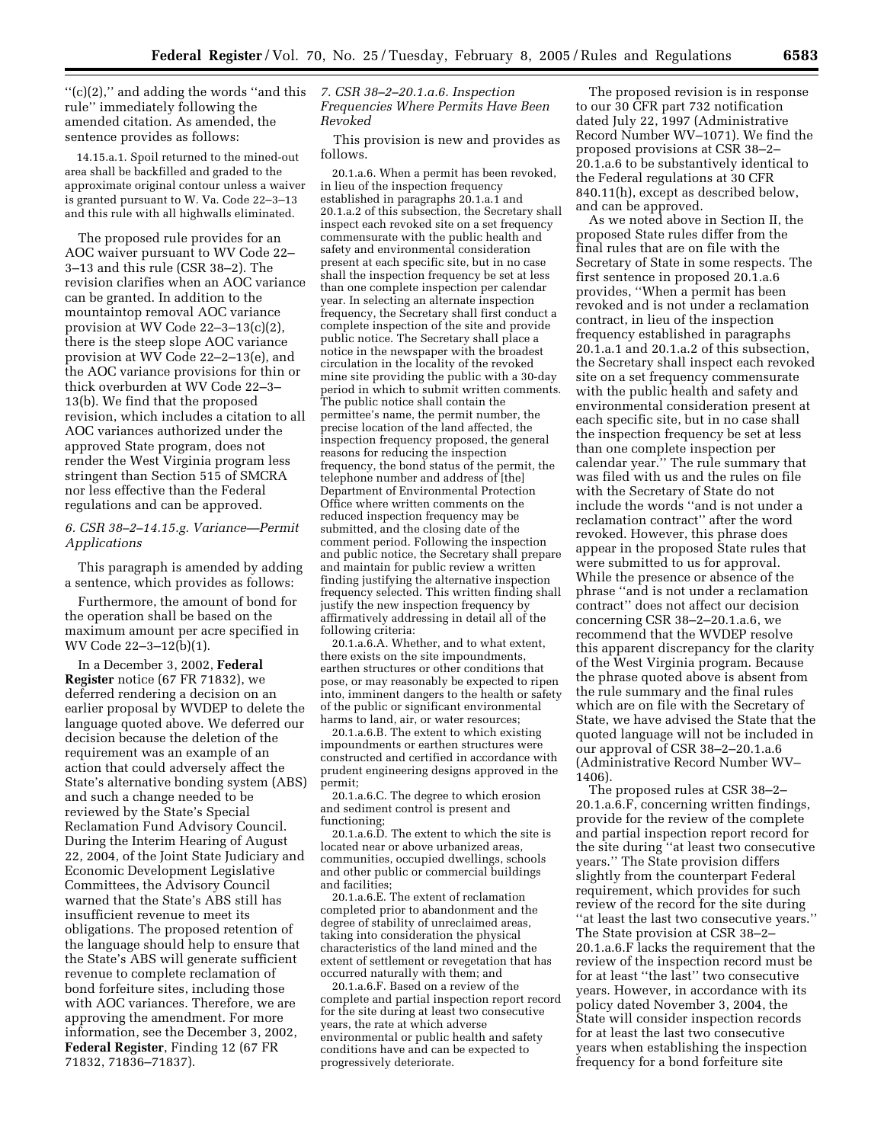''(c)(2),'' and adding the words ''and this *7. CSR 38–2–20.1.a.6. Inspection*  rule'' immediately following the amended citation. As amended, the sentence provides as follows:

14.15.a.1. Spoil returned to the mined-out area shall be backfilled and graded to the approximate original contour unless a waiver is granted pursuant to W. Va. Code 22–3–13 and this rule with all highwalls eliminated.

The proposed rule provides for an AOC waiver pursuant to WV Code 22– 3–13 and this rule (CSR 38–2). The revision clarifies when an AOC variance can be granted. In addition to the mountaintop removal AOC variance provision at WV Code 22–3–13(c)(2), there is the steep slope AOC variance provision at WV Code 22–2–13(e), and the AOC variance provisions for thin or thick overburden at WV Code 22–3– 13(b). We find that the proposed revision, which includes a citation to all AOC variances authorized under the approved State program, does not render the West Virginia program less stringent than Section 515 of SMCRA nor less effective than the Federal regulations and can be approved.

# *6. CSR 38–2–14.15.g. Variance—Permit Applications*

This paragraph is amended by adding a sentence, which provides as follows:

Furthermore, the amount of bond for the operation shall be based on the maximum amount per acre specified in WV Code 22–3–12(b)(1).

In a December 3, 2002, **Federal Register** notice (67 FR 71832), we deferred rendering a decision on an earlier proposal by WVDEP to delete the language quoted above. We deferred our decision because the deletion of the requirement was an example of an action that could adversely affect the State's alternative bonding system (ABS) and such a change needed to be reviewed by the State's Special Reclamation Fund Advisory Council. During the Interim Hearing of August 22, 2004, of the Joint State Judiciary and Economic Development Legislative Committees, the Advisory Council warned that the State's ABS still has insufficient revenue to meet its obligations. The proposed retention of the language should help to ensure that the State's ABS will generate sufficient revenue to complete reclamation of bond forfeiture sites, including those with AOC variances. Therefore, we are approving the amendment. For more information, see the December 3, 2002, **Federal Register**, Finding 12 (67 FR 71832, 71836–71837).

*Frequencies Where Permits Have Been Revoked* 

This provision is new and provides as follows.

20.1.a.6. When a permit has been revoked, in lieu of the inspection frequency established in paragraphs 20.1.a.1 and 20.1.a.2 of this subsection, the Secretary shall inspect each revoked site on a set frequency commensurate with the public health and safety and environmental consideration present at each specific site, but in no case shall the inspection frequency be set at less than one complete inspection per calendar year. In selecting an alternate inspection frequency, the Secretary shall first conduct a complete inspection of the site and provide public notice. The Secretary shall place a notice in the newspaper with the broadest circulation in the locality of the revoked mine site providing the public with a 30-day period in which to submit written comments. The public notice shall contain the permittee's name, the permit number, the precise location of the land affected, the inspection frequency proposed, the general reasons for reducing the inspection frequency, the bond status of the permit, the telephone number and address of [the] Department of Environmental Protection Office where written comments on the reduced inspection frequency may be submitted, and the closing date of the comment period. Following the inspection and public notice, the Secretary shall prepare and maintain for public review a written finding justifying the alternative inspection frequency selected. This written finding shall justify the new inspection frequency by affirmatively addressing in detail all of the following criteria:

20.1.a.6.A. Whether, and to what extent, there exists on the site impoundments, earthen structures or other conditions that pose, or may reasonably be expected to ripen into, imminent dangers to the health or safety of the public or significant environmental harms to land, air, or water resources;

20.1.a.6.B. The extent to which existing impoundments or earthen structures were constructed and certified in accordance with prudent engineering designs approved in the permit;

20.1.a.6.C. The degree to which erosion and sediment control is present and functioning;

20.1.a.6.D. The extent to which the site is located near or above urbanized areas, communities, occupied dwellings, schools and other public or commercial buildings and facilities;

20.1.a.6.E. The extent of reclamation completed prior to abandonment and the degree of stability of unreclaimed areas, taking into consideration the physical characteristics of the land mined and the extent of settlement or revegetation that has occurred naturally with them; and

20.1.a.6.F. Based on a review of the complete and partial inspection report record for the site during at least two consecutive years, the rate at which adverse environmental or public health and safety conditions have and can be expected to progressively deteriorate.

The proposed revision is in response to our 30 CFR part 732 notification dated July 22, 1997 (Administrative Record Number WV–1071). We find the proposed provisions at CSR 38–2– 20.1.a.6 to be substantively identical to the Federal regulations at 30 CFR 840.11(h), except as described below, and can be approved.

As we noted above in Section II, the proposed State rules differ from the final rules that are on file with the Secretary of State in some respects. The first sentence in proposed 20.1.a.6 provides, ''When a permit has been revoked and is not under a reclamation contract, in lieu of the inspection frequency established in paragraphs 20.1.a.1 and 20.1.a.2 of this subsection, the Secretary shall inspect each revoked site on a set frequency commensurate with the public health and safety and environmental consideration present at each specific site, but in no case shall the inspection frequency be set at less than one complete inspection per calendar year.'' The rule summary that was filed with us and the rules on file with the Secretary of State do not include the words ''and is not under a reclamation contract'' after the word revoked. However, this phrase does appear in the proposed State rules that were submitted to us for approval. While the presence or absence of the phrase ''and is not under a reclamation contract'' does not affect our decision concerning CSR 38–2–20.1.a.6, we recommend that the WVDEP resolve this apparent discrepancy for the clarity of the West Virginia program. Because the phrase quoted above is absent from the rule summary and the final rules which are on file with the Secretary of State, we have advised the State that the quoted language will not be included in our approval of CSR 38–2–20.1.a.6 (Administrative Record Number WV– 1406).

The proposed rules at CSR 38–2– 20.1.a.6.F, concerning written findings, provide for the review of the complete and partial inspection report record for the site during ''at least two consecutive years.'' The State provision differs slightly from the counterpart Federal requirement, which provides for such review of the record for the site during ''at least the last two consecutive years.'' The State provision at CSR 38–2– 20.1.a.6.F lacks the requirement that the review of the inspection record must be for at least ''the last'' two consecutive years. However, in accordance with its policy dated November 3, 2004, the State will consider inspection records for at least the last two consecutive years when establishing the inspection frequency for a bond forfeiture site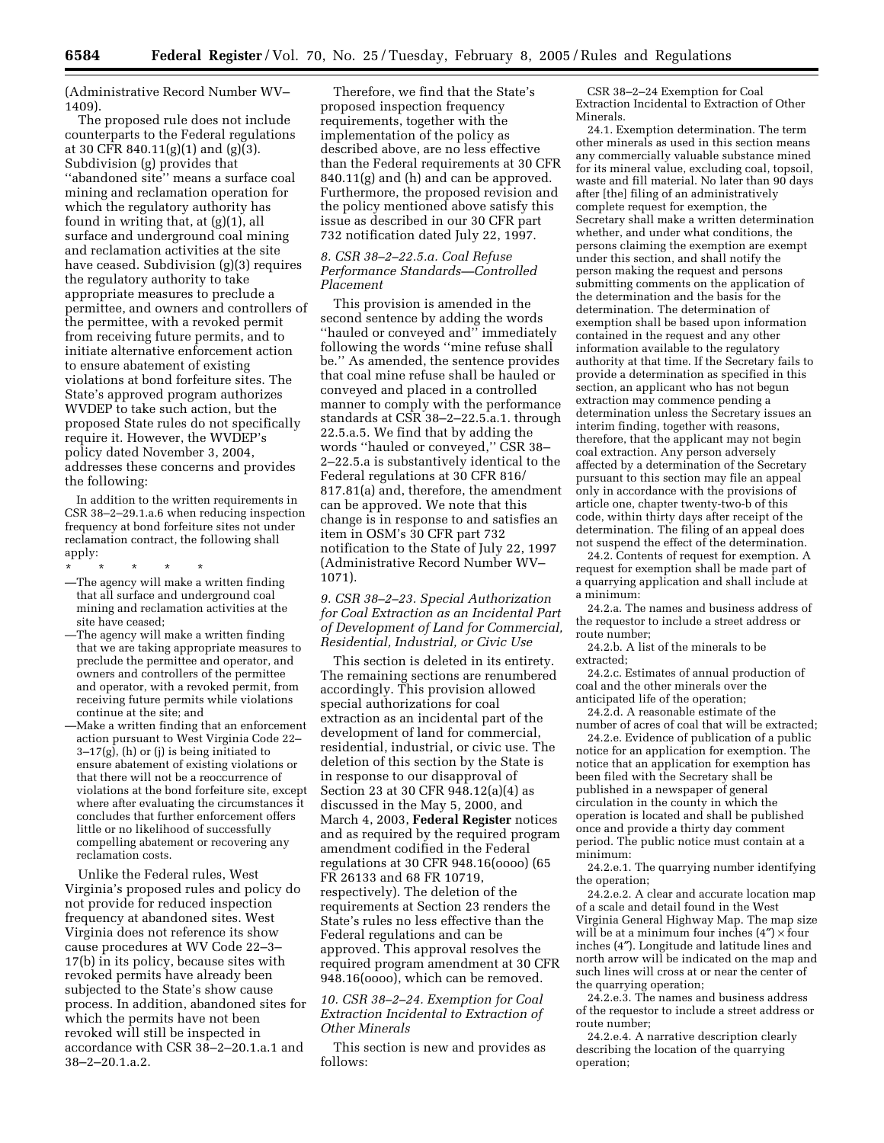(Administrative Record Number WV– 1409).

The proposed rule does not include counterparts to the Federal regulations at 30 CFR 840.11(g)(1) and (g)(3). Subdivision (g) provides that ''abandoned site'' means a surface coal mining and reclamation operation for which the regulatory authority has found in writing that, at (g)(1), all surface and underground coal mining and reclamation activities at the site have ceased. Subdivision (g)(3) requires the regulatory authority to take appropriate measures to preclude a permittee, and owners and controllers of the permittee, with a revoked permit from receiving future permits, and to initiate alternative enforcement action to ensure abatement of existing violations at bond forfeiture sites. The State's approved program authorizes WVDEP to take such action, but the proposed State rules do not specifically require it. However, the WVDEP's policy dated November 3, 2004, addresses these concerns and provides the following:

In addition to the written requirements in CSR 38–2–29.1.a.6 when reducing inspection frequency at bond forfeiture sites not under reclamation contract, the following shall apply:

- \* \* \* \* \*
- —The agency will make a written finding that all surface and underground coal mining and reclamation activities at the site have ceased;
- —The agency will make a written finding that we are taking appropriate measures to preclude the permittee and operator, and owners and controllers of the permittee and operator, with a revoked permit, from receiving future permits while violations continue at the site; and
- —Make a written finding that an enforcement action pursuant to West Virginia Code 22–  $3-17(g)$ , (h) or (j) is being initiated to ensure abatement of existing violations or that there will not be a reoccurrence of violations at the bond forfeiture site, except where after evaluating the circumstances it concludes that further enforcement offers little or no likelihood of successfully compelling abatement or recovering any reclamation costs.

Unlike the Federal rules, West Virginia's proposed rules and policy do not provide for reduced inspection frequency at abandoned sites. West Virginia does not reference its show cause procedures at WV Code 22–3– 17(b) in its policy, because sites with revoked permits have already been subjected to the State's show cause process. In addition, abandoned sites for which the permits have not been revoked will still be inspected in accordance with CSR 38–2–20.1.a.1 and 38–2–20.1.a.2.

Therefore, we find that the State's proposed inspection frequency requirements, together with the implementation of the policy as described above, are no less effective than the Federal requirements at 30 CFR 840.11(g) and (h) and can be approved. Furthermore, the proposed revision and the policy mentioned above satisfy this issue as described in our 30 CFR part 732 notification dated July 22, 1997.

## *8. CSR 38–2–22.5.a. Coal Refuse Performance Standards—Controlled Placement*

This provision is amended in the second sentence by adding the words "hauled or conveyed and" immediately following the words ''mine refuse shall be.'' As amended, the sentence provides that coal mine refuse shall be hauled or conveyed and placed in a controlled manner to comply with the performance standards at CSR 38–2–22.5.a.1. through 22.5.a.5. We find that by adding the words ''hauled or conveyed,'' CSR 38– 2–22.5.a is substantively identical to the Federal regulations at 30 CFR 816/ 817.81(a) and, therefore, the amendment can be approved. We note that this change is in response to and satisfies an item in OSM's 30 CFR part 732 notification to the State of July 22, 1997 (Administrative Record Number WV– 1071).

*9. CSR 38–2–23. Special Authorization for Coal Extraction as an Incidental Part of Development of Land for Commercial, Residential, Industrial, or Civic Use* 

This section is deleted in its entirety. The remaining sections are renumbered accordingly. This provision allowed special authorizations for coal extraction as an incidental part of the development of land for commercial, residential, industrial, or civic use. The deletion of this section by the State is in response to our disapproval of Section 23 at 30 CFR 948.12(a)(4) as discussed in the May 5, 2000, and March 4, 2003, **Federal Register** notices and as required by the required program amendment codified in the Federal regulations at 30 CFR 948.16(oooo) (65 FR 26133 and 68 FR 10719, respectively). The deletion of the requirements at Section 23 renders the State's rules no less effective than the Federal regulations and can be approved. This approval resolves the required program amendment at 30 CFR 948.16(oooo), which can be removed.

## *10. CSR 38–2–24. Exemption for Coal Extraction Incidental to Extraction of Other Minerals*

This section is new and provides as follows:

CSR 38–2–24 Exemption for Coal Extraction Incidental to Extraction of Other Minerals.

24.1. Exemption determination. The term other minerals as used in this section means any commercially valuable substance mined for its mineral value, excluding coal, topsoil, waste and fill material. No later than 90 days after [the] filing of an administratively complete request for exemption, the Secretary shall make a written determination whether, and under what conditions, the persons claiming the exemption are exempt under this section, and shall notify the person making the request and persons submitting comments on the application of the determination and the basis for the determination. The determination of exemption shall be based upon information contained in the request and any other information available to the regulatory authority at that time. If the Secretary fails to provide a determination as specified in this section, an applicant who has not begun extraction may commence pending a determination unless the Secretary issues an interim finding, together with reasons, therefore, that the applicant may not begin coal extraction. Any person adversely affected by a determination of the Secretary pursuant to this section may file an appeal only in accordance with the provisions of article one, chapter twenty-two-b of this code, within thirty days after receipt of the determination. The filing of an appeal does not suspend the effect of the determination.

24.2. Contents of request for exemption. A request for exemption shall be made part of a quarrying application and shall include at a minimum:

24.2.a. The names and business address of the requestor to include a street address or route number;

24.2.b. A list of the minerals to be extracted;

24.2.c. Estimates of annual production of coal and the other minerals over the anticipated life of the operation;

24.2.d. A reasonable estimate of the number of acres of coal that will be extracted;

24.2.e. Evidence of publication of a public notice for an application for exemption. The notice that an application for exemption has been filed with the Secretary shall be published in a newspaper of general circulation in the county in which the operation is located and shall be published once and provide a thirty day comment period. The public notice must contain at a minimum:

24.2.e.1. The quarrying number identifying the operation;

24.2.e.2. A clear and accurate location map of a scale and detail found in the West Virginia General Highway Map. The map size will be at a minimum four inches  $(4'') \times$  four inches (4″). Longitude and latitude lines and north arrow will be indicated on the map and such lines will cross at or near the center of the quarrying operation;

24.2.e.3. The names and business address of the requestor to include a street address or route number;

24.2.e.4. A narrative description clearly describing the location of the quarrying operation;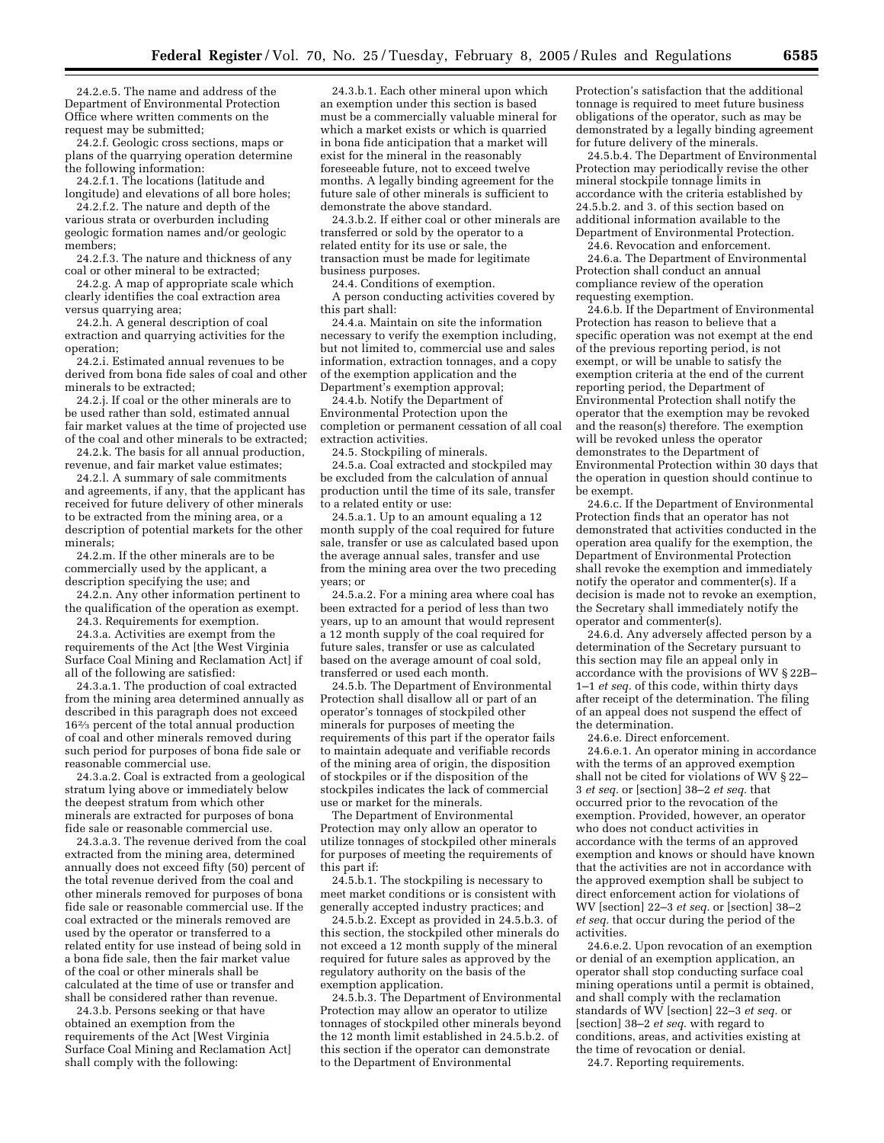24.2.e.5. The name and address of the Department of Environmental Protection Office where written comments on the request may be submitted;

24.2.f. Geologic cross sections, maps or plans of the quarrying operation determine the following information:

24.2.f.1. The locations (latitude and longitude) and elevations of all bore holes;

24.2.f.2. The nature and depth of the various strata or overburden including geologic formation names and/or geologic members;

24.2.f.3. The nature and thickness of any coal or other mineral to be extracted;

24.2.g. A map of appropriate scale which clearly identifies the coal extraction area versus quarrying area;

24.2.h. A general description of coal extraction and quarrying activities for the operation;

24.2.i. Estimated annual revenues to be derived from bona fide sales of coal and other minerals to be extracted;

24.2.j. If coal or the other minerals are to be used rather than sold, estimated annual fair market values at the time of projected use of the coal and other minerals to be extracted;

24.2.k. The basis for all annual production, revenue, and fair market value estimates;

24.2.l. A summary of sale commitments and agreements, if any, that the applicant has received for future delivery of other minerals to be extracted from the mining area, or a description of potential markets for the other minerals;

24.2.m. If the other minerals are to be commercially used by the applicant, a description specifying the use; and

24.2.n. Any other information pertinent to the qualification of the operation as exempt.

24.3. Requirements for exemption.

24.3.a. Activities are exempt from the requirements of the Act [the West Virginia Surface Coal Mining and Reclamation Act] if all of the following are satisfied:

24.3.a.1. The production of coal extracted from the mining area determined annually as described in this paragraph does not exceed 162⁄3 percent of the total annual production of coal and other minerals removed during such period for purposes of bona fide sale or reasonable commercial use.

24.3.a.2. Coal is extracted from a geological stratum lying above or immediately below the deepest stratum from which other minerals are extracted for purposes of bona fide sale or reasonable commercial use.

24.3.a.3. The revenue derived from the coal extracted from the mining area, determined annually does not exceed fifty (50) percent of the total revenue derived from the coal and other minerals removed for purposes of bona fide sale or reasonable commercial use. If the coal extracted or the minerals removed are used by the operator or transferred to a related entity for use instead of being sold in a bona fide sale, then the fair market value of the coal or other minerals shall be calculated at the time of use or transfer and shall be considered rather than revenue.

24.3.b. Persons seeking or that have obtained an exemption from the requirements of the Act [West Virginia Surface Coal Mining and Reclamation Act] shall comply with the following:

24.3.b.1. Each other mineral upon which an exemption under this section is based must be a commercially valuable mineral for which a market exists or which is quarried in bona fide anticipation that a market will exist for the mineral in the reasonably foreseeable future, not to exceed twelve months. A legally binding agreement for the future sale of other minerals is sufficient to demonstrate the above standard.

24.3.b.2. If either coal or other minerals are transferred or sold by the operator to a related entity for its use or sale, the transaction must be made for legitimate business purposes.

24.4. Conditions of exemption.

A person conducting activities covered by this part shall:

24.4.a. Maintain on site the information necessary to verify the exemption including, but not limited to, commercial use and sales information, extraction tonnages, and a copy of the exemption application and the Department's exemption approval;

24.4.b. Notify the Department of Environmental Protection upon the completion or permanent cessation of all coal extraction activities.

24.5. Stockpiling of minerals.

24.5.a. Coal extracted and stockpiled may be excluded from the calculation of annual production until the time of its sale, transfer to a related entity or use:

24.5.a.1. Up to an amount equaling a 12 month supply of the coal required for future sale, transfer or use as calculated based upon the average annual sales, transfer and use from the mining area over the two preceding years; or

24.5.a.2. For a mining area where coal has been extracted for a period of less than two years, up to an amount that would represent a 12 month supply of the coal required for future sales, transfer or use as calculated based on the average amount of coal sold, transferred or used each month.

24.5.b. The Department of Environmental Protection shall disallow all or part of an operator's tonnages of stockpiled other minerals for purposes of meeting the requirements of this part if the operator fails to maintain adequate and verifiable records of the mining area of origin, the disposition of stockpiles or if the disposition of the stockpiles indicates the lack of commercial use or market for the minerals.

The Department of Environmental Protection may only allow an operator to utilize tonnages of stockpiled other minerals for purposes of meeting the requirements of this part if:

24.5.b.1. The stockpiling is necessary to meet market conditions or is consistent with generally accepted industry practices; and

24.5.b.2. Except as provided in 24.5.b.3. of this section, the stockpiled other minerals do not exceed a 12 month supply of the mineral required for future sales as approved by the regulatory authority on the basis of the exemption application.

24.5.b.3. The Department of Environmental Protection may allow an operator to utilize tonnages of stockpiled other minerals beyond the 12 month limit established in 24.5.b.2. of this section if the operator can demonstrate to the Department of Environmental

Protection's satisfaction that the additional tonnage is required to meet future business obligations of the operator, such as may be demonstrated by a legally binding agreement for future delivery of the minerals.

24.5.b.4. The Department of Environmental Protection may periodically revise the other mineral stockpile tonnage limits in accordance with the criteria established by 24.5.b.2. and 3. of this section based on additional information available to the Department of Environmental Protection.

24.6. Revocation and enforcement. 24.6.a. The Department of Environmental Protection shall conduct an annual compliance review of the operation

requesting exemption. 24.6.b. If the Department of Environmental

Protection has reason to believe that a specific operation was not exempt at the end of the previous reporting period, is not exempt, or will be unable to satisfy the exemption criteria at the end of the current reporting period, the Department of Environmental Protection shall notify the operator that the exemption may be revoked and the reason(s) therefore. The exemption will be revoked unless the operator demonstrates to the Department of Environmental Protection within 30 days that the operation in question should continue to be exempt.

24.6.c. If the Department of Environmental Protection finds that an operator has not demonstrated that activities conducted in the operation area qualify for the exemption, the Department of Environmental Protection shall revoke the exemption and immediately notify the operator and commenter(s). If a decision is made not to revoke an exemption, the Secretary shall immediately notify the operator and commenter(s).

24.6.d. Any adversely affected person by a determination of the Secretary pursuant to this section may file an appeal only in accordance with the provisions of WV § 22B– 1–1 *et seq.* of this code, within thirty days after receipt of the determination. The filing of an appeal does not suspend the effect of the determination.

24.6.e. Direct enforcement.

24.6.e.1. An operator mining in accordance with the terms of an approved exemption shall not be cited for violations of WV  $\S 22-$ 3 *et seq.* or [section] 38–2 *et seq.* that occurred prior to the revocation of the exemption. Provided, however, an operator who does not conduct activities in accordance with the terms of an approved exemption and knows or should have known that the activities are not in accordance with the approved exemption shall be subject to direct enforcement action for violations of WV [section] 22–3 *et seq.* or [section] 38–2 *et seq.* that occur during the period of the activities.

24.6.e.2. Upon revocation of an exemption or denial of an exemption application, an operator shall stop conducting surface coal mining operations until a permit is obtained, and shall comply with the reclamation standards of WV [section] 22–3 *et seq.* or [section] 38–2 *et seq.* with regard to conditions, areas, and activities existing at the time of revocation or denial. 24.7. Reporting requirements.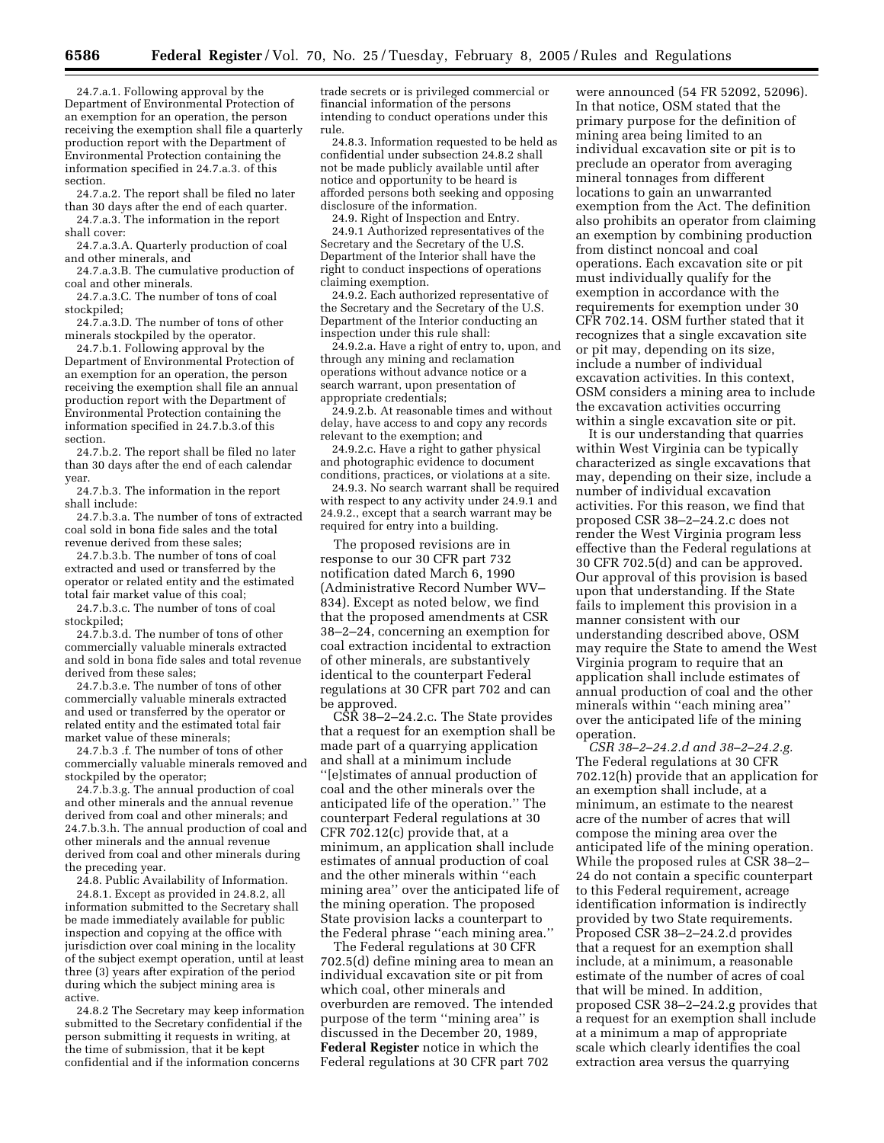24.7.a.1. Following approval by the Department of Environmental Protection of an exemption for an operation, the person receiving the exemption shall file a quarterly production report with the Department of Environmental Protection containing the information specified in 24.7.a.3. of this section.

24.7.a.2. The report shall be filed no later than 30 days after the end of each quarter.

24.7.a.3. The information in the report shall cover:

24.7.a.3.A. Quarterly production of coal and other minerals, and

24.7.a.3.B. The cumulative production of coal and other minerals.

24.7.a.3.C. The number of tons of coal stockpiled;

24.7.a.3.D. The number of tons of other minerals stockpiled by the operator.

24.7.b.1. Following approval by the Department of Environmental Protection of an exemption for an operation, the person receiving the exemption shall file an annual production report with the Department of Environmental Protection containing the information specified in 24.7.b.3.of this section.

24.7.b.2. The report shall be filed no later than 30 days after the end of each calendar year.

24.7.b.3. The information in the report shall include:

24.7.b.3.a. The number of tons of extracted coal sold in bona fide sales and the total revenue derived from these sales;

24.7.b.3.b. The number of tons of coal extracted and used or transferred by the operator or related entity and the estimated total fair market value of this coal;

24.7.b.3.c. The number of tons of coal stockpiled;

24.7.b.3.d. The number of tons of other commercially valuable minerals extracted and sold in bona fide sales and total revenue derived from these sales;

24.7.b.3.e. The number of tons of other commercially valuable minerals extracted and used or transferred by the operator or related entity and the estimated total fair market value of these minerals;

24.7.b.3 .f. The number of tons of other commercially valuable minerals removed and stockpiled by the operator;

24.7.b.3.g. The annual production of coal and other minerals and the annual revenue derived from coal and other minerals; and 24.7.b.3.h. The annual production of coal and other minerals and the annual revenue derived from coal and other minerals during the preceding year.

24.8. Public Availability of Information.

24.8.1. Except as provided in 24.8.2, all information submitted to the Secretary shall be made immediately available for public inspection and copying at the office with jurisdiction over coal mining in the locality of the subject exempt operation, until at least three (3) years after expiration of the period during which the subject mining area is active.

24.8.2 The Secretary may keep information submitted to the Secretary confidential if the person submitting it requests in writing, at the time of submission, that it be kept confidential and if the information concerns

trade secrets or is privileged commercial or financial information of the persons intending to conduct operations under this rule.

24.8.3. Information requested to be held as confidential under subsection 24.8.2 shall not be made publicly available until after notice and opportunity to be heard is afforded persons both seeking and opposing disclosure of the information.

24.9. Right of Inspection and Entry.

24.9.1 Authorized representatives of the Secretary and the Secretary of the U.S. Department of the Interior shall have the right to conduct inspections of operations claiming exemption.

24.9.2. Each authorized representative of the Secretary and the Secretary of the U.S. Department of the Interior conducting an inspection under this rule shall:

24.9.2.a. Have a right of entry to, upon, and through any mining and reclamation operations without advance notice or a search warrant, upon presentation of appropriate credentials;

24.9.2.b. At reasonable times and without delay, have access to and copy any records relevant to the exemption; and

24.9.2.c. Have a right to gather physical and photographic evidence to document conditions, practices, or violations at a site.

24.9.3. No search warrant shall be required with respect to any activity under 24.9.1 and 24.9.2., except that a search warrant may be required for entry into a building.

The proposed revisions are in response to our 30 CFR part 732 notification dated March 6, 1990 (Administrative Record Number WV– 834). Except as noted below, we find that the proposed amendments at CSR 38–2–24, concerning an exemption for coal extraction incidental to extraction of other minerals, are substantively identical to the counterpart Federal regulations at 30 CFR part 702 and can be approved.

CSR 38–2–24.2.c. The State provides that a request for an exemption shall be made part of a quarrying application and shall at a minimum include ''[e]stimates of annual production of coal and the other minerals over the anticipated life of the operation.'' The counterpart Federal regulations at 30 CFR 702.12(c) provide that, at a minimum, an application shall include estimates of annual production of coal and the other minerals within ''each mining area'' over the anticipated life of the mining operation. The proposed State provision lacks a counterpart to the Federal phrase ''each mining area.''

The Federal regulations at 30 CFR 702.5(d) define mining area to mean an individual excavation site or pit from which coal, other minerals and overburden are removed. The intended purpose of the term ''mining area'' is discussed in the December 20, 1989, **Federal Register** notice in which the Federal regulations at 30 CFR part 702

were announced (54 FR 52092, 52096). In that notice, OSM stated that the primary purpose for the definition of mining area being limited to an individual excavation site or pit is to preclude an operator from averaging mineral tonnages from different locations to gain an unwarranted exemption from the Act. The definition also prohibits an operator from claiming an exemption by combining production from distinct noncoal and coal operations. Each excavation site or pit must individually qualify for the exemption in accordance with the requirements for exemption under 30 CFR 702.14. OSM further stated that it recognizes that a single excavation site or pit may, depending on its size, include a number of individual excavation activities. In this context OSM considers a mining area to include the excavation activities occurring within a single excavation site or pit.

It is our understanding that quarries within West Virginia can be typically characterized as single excavations that may, depending on their size, include a number of individual excavation activities. For this reason, we find that proposed CSR 38–2–24.2.c does not render the West Virginia program less effective than the Federal regulations at 30 CFR 702.5(d) and can be approved. Our approval of this provision is based upon that understanding. If the State fails to implement this provision in a manner consistent with our understanding described above, OSM may require the State to amend the West Virginia program to require that an application shall include estimates of annual production of coal and the other minerals within ''each mining area'' over the anticipated life of the mining operation.

*CSR 38–2–24.2.d and 38–2–24.2.g.* The Federal regulations at 30 CFR 702.12(h) provide that an application for an exemption shall include, at a minimum, an estimate to the nearest acre of the number of acres that will compose the mining area over the anticipated life of the mining operation. While the proposed rules at CSR 38–2– 24 do not contain a specific counterpart to this Federal requirement, acreage identification information is indirectly provided by two State requirements. Proposed CSR 38–2–24.2.d provides that a request for an exemption shall include, at a minimum, a reasonable estimate of the number of acres of coal that will be mined. In addition, proposed CSR 38–2–24.2.g provides that a request for an exemption shall include at a minimum a map of appropriate scale which clearly identifies the coal extraction area versus the quarrying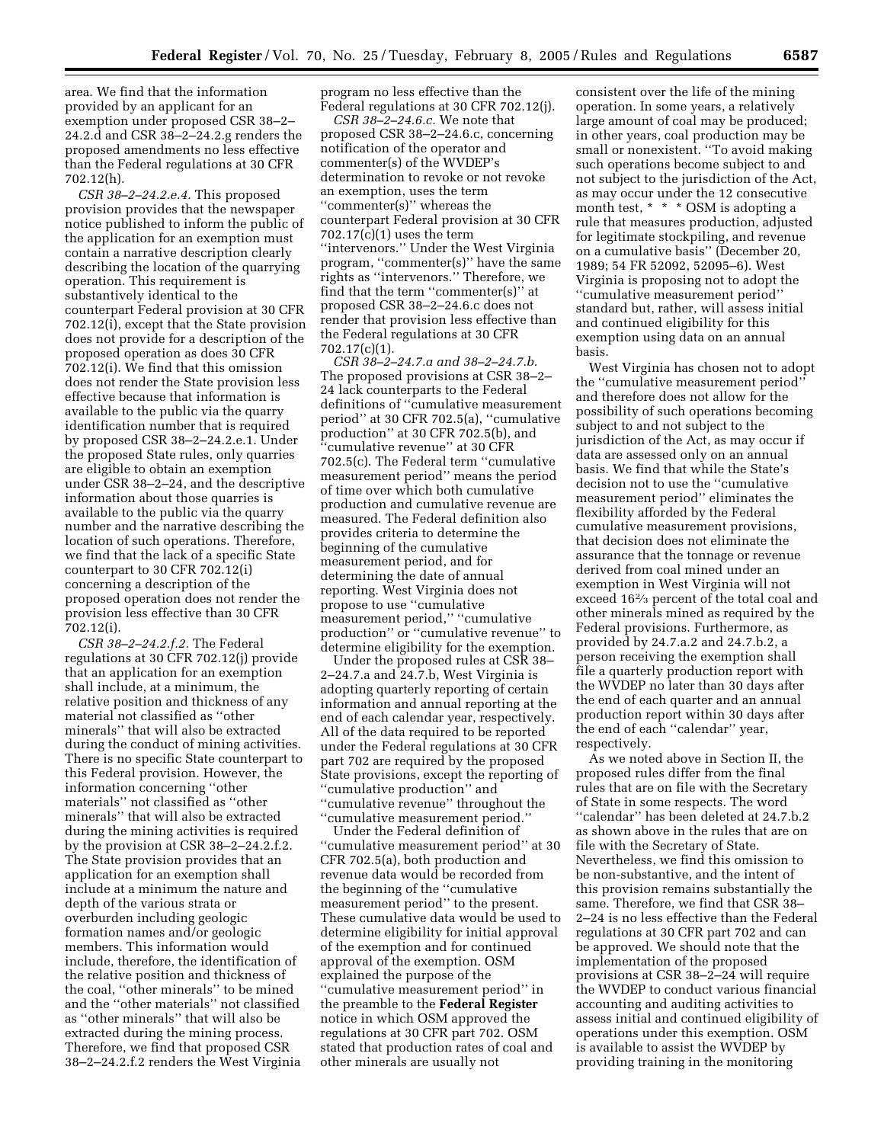area. We find that the information provided by an applicant for an exemption under proposed CSR 38–2– 24.2.d and CSR 38–2–24.2.g renders the proposed amendments no less effective than the Federal regulations at 30 CFR 702.12(h).

*CSR 38–2–24.2.e.4.* This proposed provision provides that the newspaper notice published to inform the public of the application for an exemption must contain a narrative description clearly describing the location of the quarrying operation. This requirement is substantively identical to the counterpart Federal provision at 30 CFR 702.12(i), except that the State provision does not provide for a description of the proposed operation as does 30 CFR 702.12(i). We find that this omission does not render the State provision less effective because that information is available to the public via the quarry identification number that is required by proposed CSR 38–2–24.2.e.1. Under the proposed State rules, only quarries are eligible to obtain an exemption under CSR 38–2–24, and the descriptive information about those quarries is available to the public via the quarry number and the narrative describing the location of such operations. Therefore, we find that the lack of a specific State counterpart to 30 CFR 702.12(i) concerning a description of the proposed operation does not render the provision less effective than 30 CFR 702.12(i).

*CSR 38–2–24.2.f.2.* The Federal regulations at 30 CFR 702.12(j) provide that an application for an exemption shall include, at a minimum, the relative position and thickness of any material not classified as ''other minerals'' that will also be extracted during the conduct of mining activities. There is no specific State counterpart to this Federal provision. However, the information concerning ''other materials'' not classified as ''other minerals'' that will also be extracted during the mining activities is required by the provision at CSR 38–2–24.2.f.2. The State provision provides that an application for an exemption shall include at a minimum the nature and depth of the various strata or overburden including geologic formation names and/or geologic members. This information would include, therefore, the identification of the relative position and thickness of the coal, ''other minerals'' to be mined and the ''other materials'' not classified as ''other minerals'' that will also be extracted during the mining process. Therefore, we find that proposed CSR 38–2–24.2.f.2 renders the West Virginia

program no less effective than the Federal regulations at 30 CFR 702.12(j).

*CSR 38–2–24.6.c.* We note that proposed CSR 38–2–24.6.c, concerning notification of the operator and commenter(s) of the WVDEP's determination to revoke or not revoke an exemption, uses the term ''commenter(s)'' whereas the counterpart Federal provision at 30 CFR 702.17(c)(1) uses the term ''intervenors.'' Under the West Virginia program, ''commenter(s)'' have the same rights as ''intervenors.'' Therefore, we find that the term ''commenter(s)'' at proposed CSR 38–2–24.6.c does not render that provision less effective than the Federal regulations at 30 CFR 702.17(c)(1).

*CSR 38–2–24.7.a and 38–2–24.7.b.* The proposed provisions at CSR 38–2– 24 lack counterparts to the Federal definitions of ''cumulative measurement period'' at 30 CFR 702.5(a), ''cumulative production'' at 30 CFR 702.5(b), and ''cumulative revenue'' at 30 CFR 702.5(c). The Federal term ''cumulative measurement period'' means the period of time over which both cumulative production and cumulative revenue are measured. The Federal definition also provides criteria to determine the beginning of the cumulative measurement period, and for determining the date of annual reporting. West Virginia does not propose to use ''cumulative measurement period,'' ''cumulative production'' or ''cumulative revenue'' to determine eligibility for the exemption.

Under the proposed rules at CSR 38– 2–24.7.a and 24.7.b, West Virginia is adopting quarterly reporting of certain information and annual reporting at the end of each calendar year, respectively. All of the data required to be reported under the Federal regulations at 30 CFR part 702 are required by the proposed State provisions, except the reporting of ''cumulative production'' and ''cumulative revenue'' throughout the ''cumulative measurement period.''

Under the Federal definition of ''cumulative measurement period'' at 30 CFR 702.5(a), both production and revenue data would be recorded from the beginning of the ''cumulative measurement period'' to the present. These cumulative data would be used to determine eligibility for initial approval of the exemption and for continued approval of the exemption. OSM explained the purpose of the ''cumulative measurement period'' in the preamble to the **Federal Register** notice in which OSM approved the regulations at 30 CFR part 702. OSM stated that production rates of coal and other minerals are usually not

consistent over the life of the mining operation. In some years, a relatively large amount of coal may be produced; in other years, coal production may be small or nonexistent. ''To avoid making such operations become subject to and not subject to the jurisdiction of the Act, as may occur under the 12 consecutive month test, \* \* \* OSM is adopting a rule that measures production, adjusted for legitimate stockpiling, and revenue on a cumulative basis'' (December 20, 1989; 54 FR 52092, 52095–6). West Virginia is proposing not to adopt the ''cumulative measurement period'' standard but, rather, will assess initial and continued eligibility for this exemption using data on an annual basis.

West Virginia has chosen not to adopt the ''cumulative measurement period'' and therefore does not allow for the possibility of such operations becoming subject to and not subject to the jurisdiction of the Act, as may occur if data are assessed only on an annual basis. We find that while the State's decision not to use the ''cumulative measurement period'' eliminates the flexibility afforded by the Federal cumulative measurement provisions, that decision does not eliminate the assurance that the tonnage or revenue derived from coal mined under an exemption in West Virginia will not exceed 162⁄3 percent of the total coal and other minerals mined as required by the Federal provisions. Furthermore, as provided by 24.7.a.2 and 24.7.b.2, a person receiving the exemption shall file a quarterly production report with the WVDEP no later than 30 days after the end of each quarter and an annual production report within 30 days after the end of each ''calendar'' year, respectively.

As we noted above in Section II, the proposed rules differ from the final rules that are on file with the Secretary of State in some respects. The word ''calendar'' has been deleted at 24.7.b.2 as shown above in the rules that are on file with the Secretary of State. Nevertheless, we find this omission to be non-substantive, and the intent of this provision remains substantially the same. Therefore, we find that CSR 38– 2–24 is no less effective than the Federal regulations at 30 CFR part 702 and can be approved. We should note that the implementation of the proposed provisions at CSR 38–2–24 will require the WVDEP to conduct various financial accounting and auditing activities to assess initial and continued eligibility of operations under this exemption. OSM is available to assist the WVDEP by providing training in the monitoring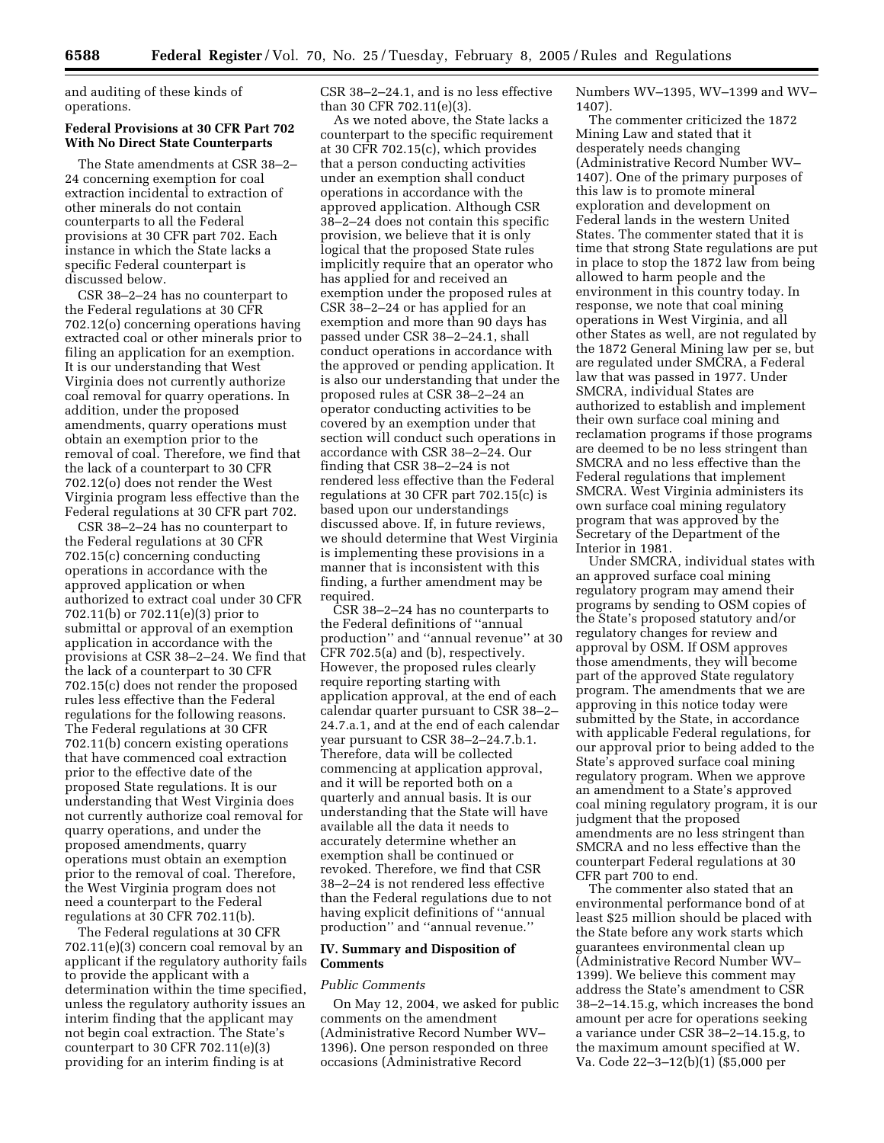and auditing of these kinds of operations.

# **Federal Provisions at 30 CFR Part 702 With No Direct State Counterparts**

The State amendments at CSR 38–2– 24 concerning exemption for coal extraction incidental to extraction of other minerals do not contain counterparts to all the Federal provisions at 30 CFR part 702. Each instance in which the State lacks a specific Federal counterpart is discussed below.

CSR 38–2–24 has no counterpart to the Federal regulations at 30 CFR 702.12(o) concerning operations having extracted coal or other minerals prior to filing an application for an exemption. It is our understanding that West Virginia does not currently authorize coal removal for quarry operations. In addition, under the proposed amendments, quarry operations must obtain an exemption prior to the removal of coal. Therefore, we find that the lack of a counterpart to 30 CFR 702.12(o) does not render the West Virginia program less effective than the Federal regulations at 30 CFR part 702.

CSR 38–2–24 has no counterpart to the Federal regulations at 30 CFR 702.15(c) concerning conducting operations in accordance with the approved application or when authorized to extract coal under 30 CFR 702.11(b) or 702.11(e)(3) prior to submittal or approval of an exemption application in accordance with the provisions at CSR 38–2–24. We find that the lack of a counterpart to 30 CFR 702.15(c) does not render the proposed rules less effective than the Federal regulations for the following reasons. The Federal regulations at 30 CFR 702.11(b) concern existing operations that have commenced coal extraction prior to the effective date of the proposed State regulations. It is our understanding that West Virginia does not currently authorize coal removal for quarry operations, and under the proposed amendments, quarry operations must obtain an exemption prior to the removal of coal. Therefore, the West Virginia program does not need a counterpart to the Federal regulations at 30 CFR 702.11(b).

The Federal regulations at 30 CFR 702.11(e)(3) concern coal removal by an applicant if the regulatory authority fails to provide the applicant with a determination within the time specified, unless the regulatory authority issues an interim finding that the applicant may not begin coal extraction. The State's counterpart to 30 CFR 702.11(e)(3) providing for an interim finding is at

CSR 38–2–24.1, and is no less effective than 30 CFR 702.11(e)(3).

As we noted above, the State lacks a counterpart to the specific requirement at 30 CFR 702.15(c), which provides that a person conducting activities under an exemption shall conduct operations in accordance with the approved application. Although CSR 38–2–24 does not contain this specific provision, we believe that it is only logical that the proposed State rules implicitly require that an operator who has applied for and received an exemption under the proposed rules at CSR 38–2–24 or has applied for an exemption and more than 90 days has passed under CSR 38–2–24.1, shall conduct operations in accordance with the approved or pending application. It is also our understanding that under the proposed rules at CSR 38–2–24 an operator conducting activities to be covered by an exemption under that section will conduct such operations in accordance with CSR 38–2–24. Our finding that CSR 38–2–24 is not rendered less effective than the Federal regulations at 30 CFR part 702.15(c) is based upon our understandings discussed above. If, in future reviews, we should determine that West Virginia is implementing these provisions in a manner that is inconsistent with this finding, a further amendment may be required.

CSR 38–2–24 has no counterparts to the Federal definitions of ''annual production'' and ''annual revenue'' at 30 CFR 702.5(a) and (b), respectively. However, the proposed rules clearly require reporting starting with application approval, at the end of each calendar quarter pursuant to CSR 38–2– 24.7.a.1, and at the end of each calendar year pursuant to CSR 38–2–24.7.b.1. Therefore, data will be collected commencing at application approval, and it will be reported both on a quarterly and annual basis. It is our understanding that the State will have available all the data it needs to accurately determine whether an exemption shall be continued or revoked. Therefore, we find that CSR 38–2–24 is not rendered less effective than the Federal regulations due to not having explicit definitions of ''annual production'' and ''annual revenue.''

# **IV. Summary and Disposition of Comments**

# *Public Comments*

On May 12, 2004, we asked for public comments on the amendment (Administrative Record Number WV– 1396). One person responded on three occasions (Administrative Record

Numbers WV–1395, WV–1399 and WV– 1407).

The commenter criticized the 1872 Mining Law and stated that it desperately needs changing (Administrative Record Number WV– 1407). One of the primary purposes of this law is to promote mineral exploration and development on Federal lands in the western United States. The commenter stated that it is time that strong State regulations are put in place to stop the 1872 law from being allowed to harm people and the environment in this country today. In response, we note that coal mining operations in West Virginia, and all other States as well, are not regulated by the 1872 General Mining law per se, but are regulated under SMCRA, a Federal law that was passed in 1977. Under SMCRA, individual States are authorized to establish and implement their own surface coal mining and reclamation programs if those programs are deemed to be no less stringent than SMCRA and no less effective than the Federal regulations that implement SMCRA. West Virginia administers its own surface coal mining regulatory program that was approved by the Secretary of the Department of the Interior in 1981.

Under SMCRA, individual states with an approved surface coal mining regulatory program may amend their programs by sending to OSM copies of the State's proposed statutory and/or regulatory changes for review and approval by OSM. If OSM approves those amendments, they will become part of the approved State regulatory program. The amendments that we are approving in this notice today were submitted by the State, in accordance with applicable Federal regulations, for our approval prior to being added to the State's approved surface coal mining regulatory program. When we approve an amendment to a State's approved coal mining regulatory program, it is our judgment that the proposed amendments are no less stringent than SMCRA and no less effective than the counterpart Federal regulations at 30 CFR part 700 to end.

The commenter also stated that an environmental performance bond of at least \$25 million should be placed with the State before any work starts which guarantees environmental clean up (Administrative Record Number WV– 1399). We believe this comment may address the State's amendment to CSR 38–2–14.15.g, which increases the bond amount per acre for operations seeking a variance under CSR 38–2–14.15.g, to the maximum amount specified at W. Va. Code 22–3–12(b)(1) (\$5,000 per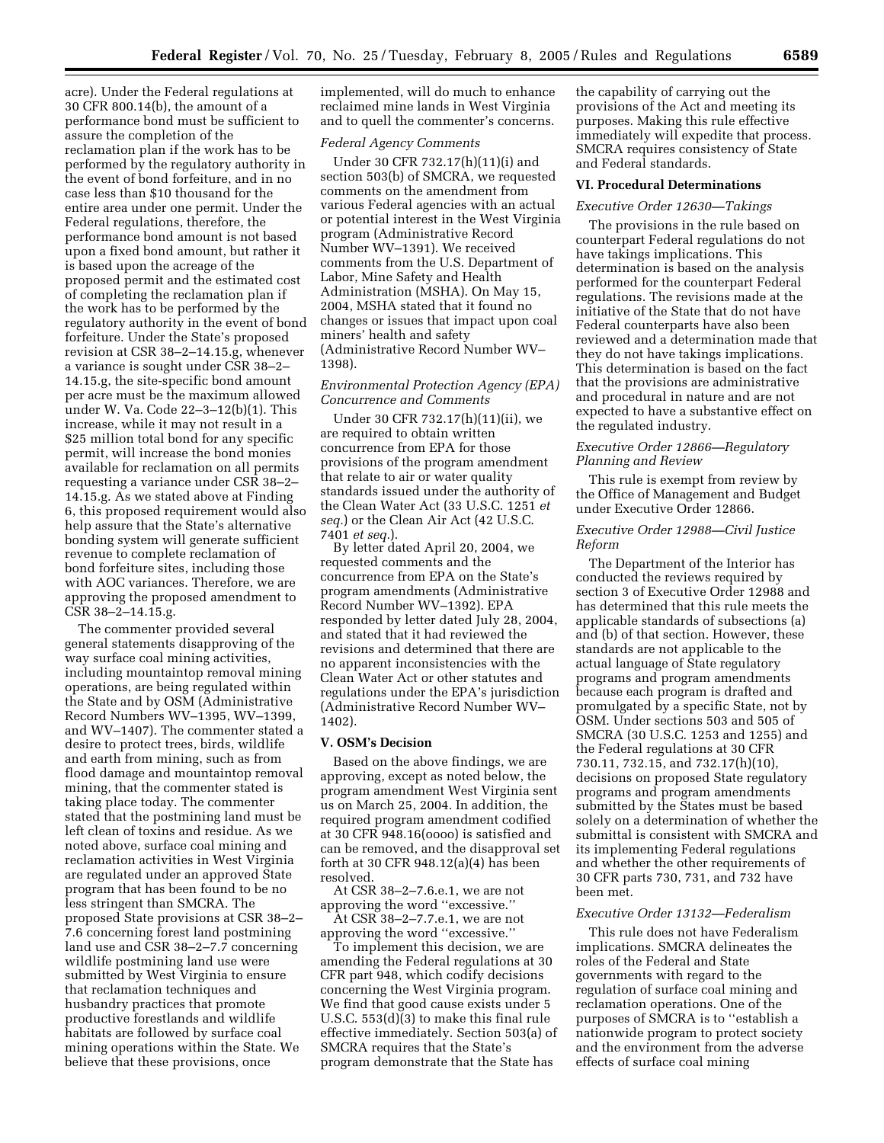acre). Under the Federal regulations at 30 CFR 800.14(b), the amount of a performance bond must be sufficient to assure the completion of the reclamation plan if the work has to be performed by the regulatory authority in the event of bond forfeiture, and in no case less than \$10 thousand for the entire area under one permit. Under the Federal regulations, therefore, the performance bond amount is not based upon a fixed bond amount, but rather it is based upon the acreage of the proposed permit and the estimated cost of completing the reclamation plan if the work has to be performed by the regulatory authority in the event of bond forfeiture. Under the State's proposed revision at CSR 38–2–14.15.g, whenever a variance is sought under CSR 38–2– 14.15.g, the site-specific bond amount per acre must be the maximum allowed under W. Va. Code 22–3–12(b)(1). This increase, while it may not result in a \$25 million total bond for any specific permit, will increase the bond monies available for reclamation on all permits requesting a variance under CSR 38–2– 14.15.g. As we stated above at Finding 6, this proposed requirement would also help assure that the State's alternative bonding system will generate sufficient revenue to complete reclamation of bond forfeiture sites, including those with AOC variances. Therefore, we are approving the proposed amendment to CSR 38–2–14.15.g.

The commenter provided several general statements disapproving of the way surface coal mining activities, including mountaintop removal mining operations, are being regulated within the State and by OSM (Administrative Record Numbers WV–1395, WV–1399, and WV–1407). The commenter stated a desire to protect trees, birds, wildlife and earth from mining, such as from flood damage and mountaintop removal mining, that the commenter stated is taking place today. The commenter stated that the postmining land must be left clean of toxins and residue. As we noted above, surface coal mining and reclamation activities in West Virginia are regulated under an approved State program that has been found to be no less stringent than SMCRA. The proposed State provisions at CSR 38–2– 7.6 concerning forest land postmining land use and CSR 38–2–7.7 concerning wildlife postmining land use were submitted by West Virginia to ensure that reclamation techniques and husbandry practices that promote productive forestlands and wildlife habitats are followed by surface coal mining operations within the State. We believe that these provisions, once

implemented, will do much to enhance reclaimed mine lands in West Virginia and to quell the commenter's concerns.

## *Federal Agency Comments*

Under 30 CFR 732.17(h)(11)(i) and section 503(b) of SMCRA, we requested comments on the amendment from various Federal agencies with an actual or potential interest in the West Virginia program (Administrative Record Number WV–1391). We received comments from the U.S. Department of Labor, Mine Safety and Health Administration (MSHA). On May 15, 2004, MSHA stated that it found no changes or issues that impact upon coal miners' health and safety (Administrative Record Number WV– 1398).

# *Environmental Protection Agency (EPA) Concurrence and Comments*

Under 30 CFR 732.17(h)(11)(ii), we are required to obtain written concurrence from EPA for those provisions of the program amendment that relate to air or water quality standards issued under the authority of the Clean Water Act (33 U.S.C. 1251 *et seq.*) or the Clean Air Act (42 U.S.C. 7401 *et seq.*).

By letter dated April 20, 2004, we requested comments and the concurrence from EPA on the State's program amendments (Administrative Record Number WV–1392). EPA responded by letter dated July 28, 2004, and stated that it had reviewed the revisions and determined that there are no apparent inconsistencies with the Clean Water Act or other statutes and regulations under the EPA's jurisdiction (Administrative Record Number WV– 1402).

#### **V. OSM's Decision**

Based on the above findings, we are approving, except as noted below, the program amendment West Virginia sent us on March 25, 2004. In addition, the required program amendment codified at 30 CFR 948.16(oooo) is satisfied and can be removed, and the disapproval set forth at 30 CFR 948.12(a)(4) has been resolved.

At CSR 38–2–7.6.e.1, we are not approving the word ''excessive.''

At CSR 38–2–7.7.e.1, we are not approving the word ''excessive.''

To implement this decision, we are amending the Federal regulations at 30 CFR part 948, which codify decisions concerning the West Virginia program. We find that good cause exists under 5 U.S.C. 553(d)(3) to make this final rule effective immediately. Section 503(a) of SMCRA requires that the State's program demonstrate that the State has

the capability of carrying out the provisions of the Act and meeting its purposes. Making this rule effective immediately will expedite that process. SMCRA requires consistency of State and Federal standards.

#### **VI. Procedural Determinations**

# *Executive Order 12630—Takings*

The provisions in the rule based on counterpart Federal regulations do not have takings implications. This determination is based on the analysis performed for the counterpart Federal regulations. The revisions made at the initiative of the State that do not have Federal counterparts have also been reviewed and a determination made that they do not have takings implications. This determination is based on the fact that the provisions are administrative and procedural in nature and are not expected to have a substantive effect on the regulated industry.

## *Executive Order 12866—Regulatory Planning and Review*

This rule is exempt from review by the Office of Management and Budget under Executive Order 12866.

# *Executive Order 12988—Civil Justice Reform*

The Department of the Interior has conducted the reviews required by section 3 of Executive Order 12988 and has determined that this rule meets the applicable standards of subsections (a) and (b) of that section. However, these standards are not applicable to the actual language of State regulatory programs and program amendments because each program is drafted and promulgated by a specific State, not by OSM. Under sections 503 and 505 of SMCRA (30 U.S.C. 1253 and 1255) and the Federal regulations at 30 CFR 730.11, 732.15, and 732.17(h)(10), decisions on proposed State regulatory programs and program amendments submitted by the States must be based solely on a determination of whether the submittal is consistent with SMCRA and its implementing Federal regulations and whether the other requirements of 30 CFR parts 730, 731, and 732 have been met.

#### *Executive Order 13132—Federalism*

This rule does not have Federalism implications. SMCRA delineates the roles of the Federal and State governments with regard to the regulation of surface coal mining and reclamation operations. One of the purposes of SMCRA is to ''establish a nationwide program to protect society and the environment from the adverse effects of surface coal mining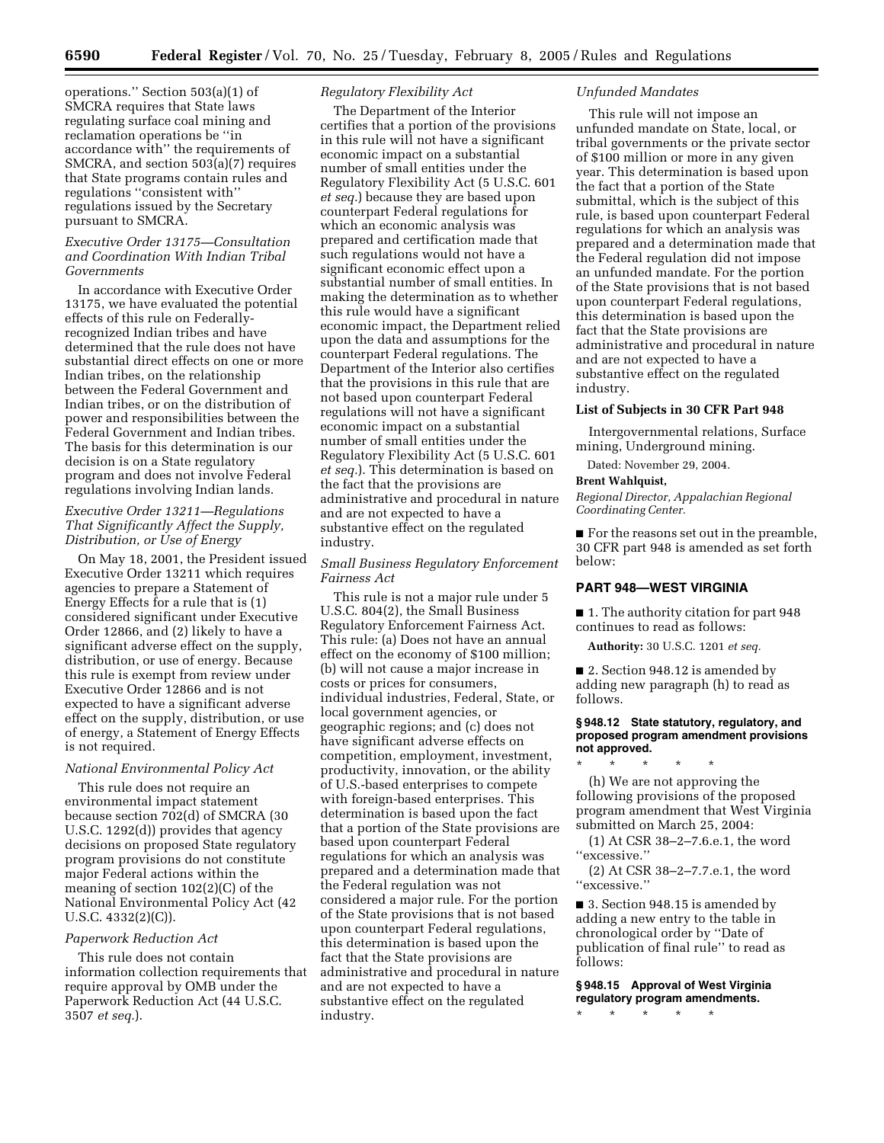operations.'' Section 503(a)(1) of SMCRA requires that State laws regulating surface coal mining and reclamation operations be ''in accordance with'' the requirements of SMCRA, and section 503(a)(7) requires that State programs contain rules and regulations ''consistent with'' regulations issued by the Secretary pursuant to SMCRA.

## *Executive Order 13175—Consultation and Coordination With Indian Tribal Governments*

In accordance with Executive Order 13175, we have evaluated the potential effects of this rule on Federallyrecognized Indian tribes and have determined that the rule does not have substantial direct effects on one or more Indian tribes, on the relationship between the Federal Government and Indian tribes, or on the distribution of power and responsibilities between the Federal Government and Indian tribes. The basis for this determination is our decision is on a State regulatory program and does not involve Federal regulations involving Indian lands.

# *Executive Order 13211—Regulations That Significantly Affect the Supply, Distribution, or Use of Energy*

On May 18, 2001, the President issued Executive Order 13211 which requires agencies to prepare a Statement of Energy Effects for a rule that is (1) considered significant under Executive Order 12866, and (2) likely to have a significant adverse effect on the supply, distribution, or use of energy. Because this rule is exempt from review under Executive Order 12866 and is not expected to have a significant adverse effect on the supply, distribution, or use of energy, a Statement of Energy Effects is not required.

# *National Environmental Policy Act*

This rule does not require an environmental impact statement because section 702(d) of SMCRA (30 U.S.C. 1292(d)) provides that agency decisions on proposed State regulatory program provisions do not constitute major Federal actions within the meaning of section 102(2)(C) of the National Environmental Policy Act (42 U.S.C. 4332(2)(C)).

#### *Paperwork Reduction Act*

This rule does not contain information collection requirements that require approval by OMB under the Paperwork Reduction Act (44 U.S.C. 3507 *et seq.*).

# *Regulatory Flexibility Act*

The Department of the Interior certifies that a portion of the provisions in this rule will not have a significant economic impact on a substantial number of small entities under the Regulatory Flexibility Act (5 U.S.C. 601 *et seq.*) because they are based upon counterpart Federal regulations for which an economic analysis was prepared and certification made that such regulations would not have a significant economic effect upon a substantial number of small entities. In making the determination as to whether this rule would have a significant economic impact, the Department relied upon the data and assumptions for the counterpart Federal regulations. The Department of the Interior also certifies that the provisions in this rule that are not based upon counterpart Federal regulations will not have a significant economic impact on a substantial number of small entities under the Regulatory Flexibility Act (5 U.S.C. 601 *et seq.*). This determination is based on the fact that the provisions are administrative and procedural in nature and are not expected to have a substantive effect on the regulated industry.

## *Small Business Regulatory Enforcement Fairness Act*

This rule is not a major rule under 5 U.S.C. 804(2), the Small Business Regulatory Enforcement Fairness Act. This rule: (a) Does not have an annual effect on the economy of \$100 million; (b) will not cause a major increase in costs or prices for consumers, individual industries, Federal, State, or local government agencies, or geographic regions; and (c) does not have significant adverse effects on competition, employment, investment, productivity, innovation, or the ability of U.S.-based enterprises to compete with foreign-based enterprises. This determination is based upon the fact that a portion of the State provisions are based upon counterpart Federal regulations for which an analysis was prepared and a determination made that the Federal regulation was not considered a major rule. For the portion of the State provisions that is not based upon counterpart Federal regulations, this determination is based upon the fact that the State provisions are administrative and procedural in nature and are not expected to have a substantive effect on the regulated industry.

# *Unfunded Mandates*

This rule will not impose an unfunded mandate on State, local, or tribal governments or the private sector of \$100 million or more in any given year. This determination is based upon the fact that a portion of the State submittal, which is the subject of this rule, is based upon counterpart Federal regulations for which an analysis was prepared and a determination made that the Federal regulation did not impose an unfunded mandate. For the portion of the State provisions that is not based upon counterpart Federal regulations, this determination is based upon the fact that the State provisions are administrative and procedural in nature and are not expected to have a substantive effect on the regulated industry.

#### **List of Subjects in 30 CFR Part 948**

Intergovernmental relations, Surface mining, Underground mining.

Dated: November 29, 2004.

#### **Brent Wahlquist,**

*Regional Director, Appalachian Regional Coordinating Center.*

■ For the reasons set out in the preamble, 30 CFR part 948 is amended as set forth below:

# **PART 948—WEST VIRGINIA**

■ 1. The authority citation for part 948 continues to read as follows:

**Authority:** 30 U.S.C. 1201 *et seq.*

■ 2. Section 948.12 is amended by adding new paragraph (h) to read as follows.

## **§ 948.12 State statutory, regulatory, and proposed program amendment provisions not approved.**

\* \* \* \* \*

(h) We are not approving the following provisions of the proposed program amendment that West Virginia submitted on March 25, 2004:

(1) At CSR 38–2–7.6.e.1, the word ''excessive.''

(2) At CSR 38–2–7.7.e.1, the word ''excessive.''

■ 3. Section 948.15 is amended by adding a new entry to the table in chronological order by ''Date of publication of final rule'' to read as follows:

**§ 948.15 Approval of West Virginia regulatory program amendments.** \* \* \* \* \*